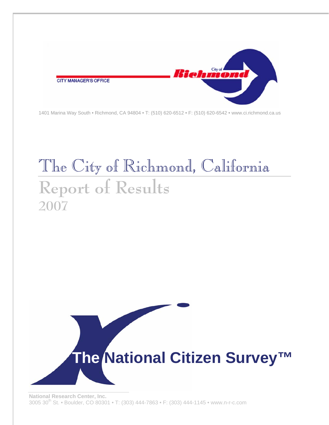

1401 Marina Way South • Richmond, CA 94804 • T: (510) 620-6512 • F: (510) 620-6542 • www.ci.richmond.ca.us

# The City of Richmond, California **Report of Results 2007**

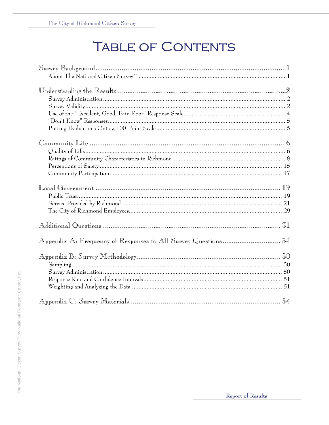# **TABLE OF CONTENTS**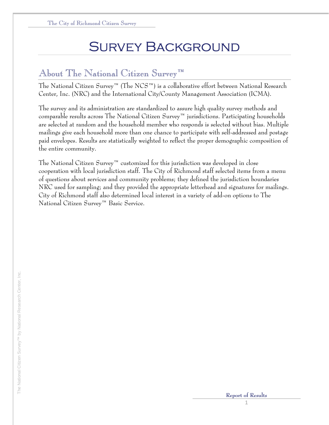# Survey Background

## About The National Citizen Survey™

The National Citizen Survey™ (The NCS™) is a collaborative effort between National Research Center, Inc. (NRC) and the International City/County Management Association (ICMA).

The survey and its administration are standardized to assure high quality survey methods and comparable results across The National Citizen Survey™ jurisdictions. Participating households are selected at random and the household member who responds is selected without bias. Multiple mailings give each household more than one chance to participate with self-addressed and postage paid envelopes. Results are statistically weighted to reflect the proper demographic composition of the entire community.

The National Citizen Survey™ customized for this jurisdiction was developed in close cooperation with local jurisdiction staff. The City of Richmond staff selected items from a menu of questions about services and community problems; they defined the jurisdiction boundaries NRC used for sampling; and they provided the appropriate letterhead and signatures for mailings. City of Richmond staff also determined local interest in a variety of add-on options to The National Citizen Survey™ Basic Service.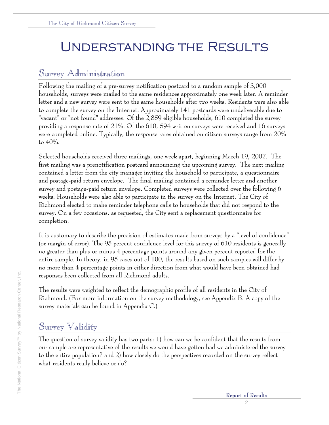# Understanding the Results

## Survey Administration

Following the mailing of a pre-survey notification postcard to a random sample of 3,000 households, surveys were mailed to the same residences approximately one week later. A reminder letter and a new survey were sent to the same households after two weeks. Residents were also able to complete the survey on the Internet. Approximately 141 postcards were undeliverable due to "vacant" or "not found" addresses. Of the 2,859 eligible households, 610 completed the survey providing a response rate of 21%. Of the 610, 594 written surveys were received and 16 surveys were completed online. Typically, the response rates obtained on citizen surveys range from 20% to 40%.

Selected households received three mailings, one week apart, beginning March 19, 2007. The first mailing was a prenotification postcard announcing the upcoming survey. The next mailing contained a letter from the city manager inviting the household to participate, a questionnaire and postage-paid return envelope. The final mailing contained a reminder letter and another survey and postage-paid return envelope. Completed surveys were collected over the following 6 weeks. Households were also able to participate in the survey on the Internet. The City of Richmond elected to make reminder telephone calls to households that did not respond to the survey. On a few occasions, as requested, the City sent a replacement questionnaire for completion.

It is customary to describe the precision of estimates made from surveys by a "level of confidence" (or margin of error). The 95 percent confidence level for this survey of 610 residents is generally no greater than plus or minus 4 percentage points around any given percent reported for the entire sample. In theory, in 95 cases out of 100, the results based on such samples will differ by no more than 4 percentage points in either direction from what would have been obtained had responses been collected from all Richmond adults.

The results were weighted to reflect the demographic profile of all residents in the City of Richmond. (For more information on the survey methodology, see Appendix B. A copy of the survey materials can be found in Appendix C.)

## Survey Validity

The question of survey validity has two parts: 1) how can we be confident that the results from our sample are representative of the results we would have gotten had we administered the survey to the entire population? and 2) how closely do the perspectives recorded on the survey reflect what residents really believe or do?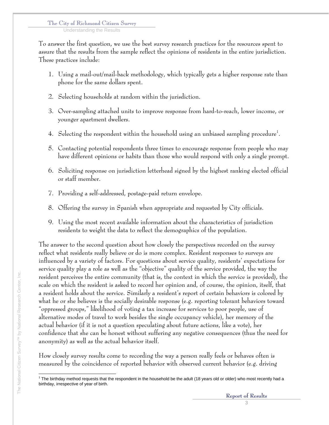Understanding the Results

To answer the first question, we use the best survey research practices for the resources spent to assure that the results from the sample reflect the opinions of residents in the entire jurisdiction. These practices include:

- 1. Using a mail-out/mail-back methodology, which typically gets a higher response rate than phone for the same dollars spent.
- 2. Selecting households at random within the jurisdiction.
- 3. Over-sampling attached units to improve response from hard-to-reach, lower income, or younger apartment dwellers.
- 4. Selecting the respondent within the household using an unbiased sampling procedure<sup>1</sup>.
- 5. Contacting potential respondents three times to encourage response from people who may have different opinions or habits than those who would respond with only a single prompt.
- 6. Soliciting response on jurisdiction letterhead signed by the highest ranking elected official or staff member.
- 7. Providing a self-addressed, postage-paid return envelope.
- 8. Offering the survey in Spanish when appropriate and requested by City officials.
- 9. Using the most recent available information about the characteristics of jurisdiction residents to weight the data to reflect the demographics of the population.

The answer to the second question about how closely the perspectives recorded on the survey reflect what residents really believe or do is more complex. Resident responses to surveys are influenced by a variety of factors. For questions about service quality, residents' expectations for service quality play a role as well as the "objective" quality of the service provided, the way the resident perceives the entire community (that is, the context in which the service is provided), the scale on which the resident is asked to record her opinion and, of course, the opinion, itself, that a resident holds about the service. Similarly a resident's report of certain behaviors is colored by what he or she believes is the socially desirable response (e.g. reporting tolerant behaviors toward "oppressed groups," likelihood of voting a tax increase for services to poor people, use of alternative modes of travel to work besides the single occupancy vehicle), her memory of the actual behavior (if it is not a question speculating about future actions, like a vote), her confidence that she can be honest without suffering any negative consequences (thus the need for anonymity) as well as the actual behavior itself.

How closely survey results come to recording the way a person really feels or behaves often is measured by the coincidence of reported behavior with observed current behavior (e.g. driving

 1 The birthday method requests that the respondent in the household be the adult (18 years old or older) who most recently had a birthday, irrespective of year of birth.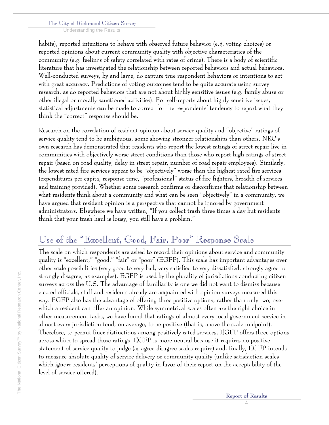Understanding the Results

habits), reported intentions to behave with observed future behavior (e.g. voting choices) or reported opinions about current community quality with objective characteristics of the community (e.g. feelings of safety correlated with rates of crime). There is a body of scientific literature that has investigated the relationship between reported behaviors and actual behaviors. Well-conducted surveys, by and large, do capture true respondent behaviors or intentions to act with great accuracy. Predictions of voting outcomes tend to be quite accurate using survey research, as do reported behaviors that are not about highly sensitive issues (e.g. family abuse or other illegal or morally sanctioned activities). For self-reports about highly sensitive issues, statistical adjustments can be made to correct for the respondents' tendency to report what they think the "correct" response should be.

Research on the correlation of resident opinion about service quality and "objective" ratings of service quality tend to be ambiguous, some showing stronger relationships than others. NRC's own research has demonstrated that residents who report the lowest ratings of street repair live in communities with objectively worse street conditions than those who report high ratings of street repair (based on road quality, delay in street repair, number of road repair employees). Similarly, the lowest rated fire services appear to be "objectively" worse than the highest rated fire services (expenditures per capita, response time, "professional" status of fire fighters, breadth of services and training provided). Whether some research confirms or disconfirms that relationship between what residents think about a community and what can be seen "objectively" in a community, we have argued that resident opinion is a perspective that cannot be ignored by government administrators. Elsewhere we have written, "If you collect trash three times a day but residents think that your trash haul is lousy, you still have a problem."

## Use of the "Excellent, Good, Fair, Poor" Response Scale

The scale on which respondents are asked to record their opinions about service and community quality is "excellent," "good," "fair" or "poor" (EGFP). This scale has important advantages over other scale possibilities (very good to very bad; very satisfied to very dissatisfied; strongly agree to strongly disagree, as examples). EGFP is used by the plurality of jurisdictions conducting citizen surveys across the U.S. The advantage of familiarity is one we did not want to dismiss because elected officials, staff and residents already are acquainted with opinion surveys measured this way. EGFP also has the advantage of offering three positive options, rather than only two, over which a resident can offer an opinion. While symmetrical scales often are the right choice in other measurement tasks, we have found that ratings of almost every local government service in almost every jurisdiction tend, on average, to be positive (that is, above the scale midpoint). Therefore, to permit finer distinctions among positively rated services, EGFP offers three options across which to spread those ratings. EGFP is more neutral because it requires no positive statement of service quality to judge (as agree-disagree scales require) and, finally, EGFP intends to measure absolute quality of service delivery or community quality (unlike satisfaction scales which ignore residents' perceptions of quality in favor of their report on the acceptability of the level of service offered).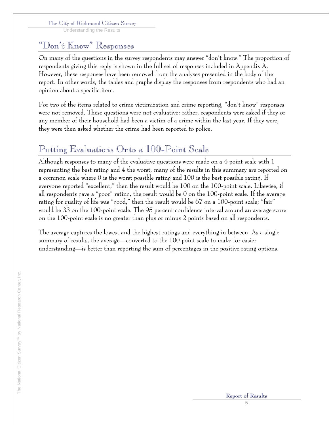Understanding the Results

## "Don't Know" Responses

On many of the questions in the survey respondents may answer "don't know." The proportion of respondents giving this reply is shown in the full set of responses included in Appendix A. However, these responses have been removed from the analyses presented in the body of the report. In other words, the tables and graphs display the responses from respondents who had an opinion about a specific item.

For two of the items related to crime victimization and crime reporting, "don't know" responses were not removed. These questions were not evaluative; rather, respondents were asked if they or any member of their household had been a victim of a crime within the last year. If they were, they were then asked whether the crime had been reported to police.

# Putting Evaluations Onto a 100-Point Scale

Although responses to many of the evaluative questions were made on a 4 point scale with 1 representing the best rating and 4 the worst, many of the results in this summary are reported on a common scale where 0 is the worst possible rating and 100 is the best possible rating. If everyone reported "excellent," then the result would be 100 on the 100-point scale. Likewise, if all respondents gave a "poor" rating, the result would be 0 on the 100-point scale. If the average rating for quality of life was "good," then the result would be 67 on a 100-point scale; "fair" would be 33 on the 100-point scale. The 95 percent confidence interval around an average score on the 100-point scale is no greater than plus or minus 2 points based on all respondents.

The average captures the lowest and the highest ratings and everything in between. As a single summary of results, the average—converted to the 100 point scale to make for easier understanding—is better than reporting the sum of percentages in the positive rating options.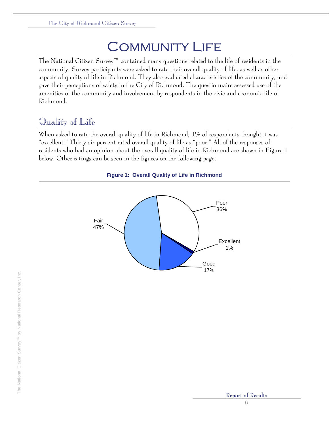# **COMMUNITY LIFE**

The National Citizen Survey™ contained many questions related to the life of residents in the community. Survey participants were asked to rate their overall quality of life, as well as other aspects of quality of life in Richmond. They also evaluated characteristics of the community, and gave their perceptions of safety in the City of Richmond. The questionnaire assessed use of the amenities of the community and involvement by respondents in the civic and economic life of Richmond.

## Quality of Life

When asked to rate the overall quality of life in Richmond, 1% of respondents thought it was "excellent." Thirty-six percent rated overall quality of life as "poor." All of the responses of residents who had an opinion about the overall quality of life in Richmond are shown in Figure 1 below. Other ratings can be seen in the figures on the following page.



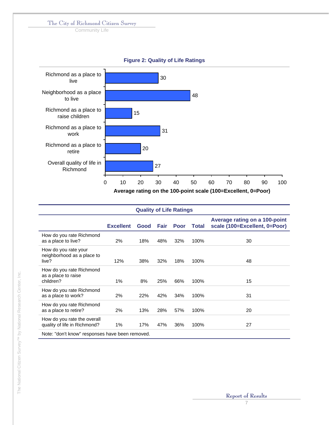Community Life



| <b>Quality of Life Ratings</b>                               |                                                 |      |      |             |       |                                                                |  |  |  |  |  |
|--------------------------------------------------------------|-------------------------------------------------|------|------|-------------|-------|----------------------------------------------------------------|--|--|--|--|--|
|                                                              | <b>Excellent</b>                                | Good | Fair | <b>Poor</b> | Total | Average rating on a 100-point<br>scale (100=Excellent, 0=Poor) |  |  |  |  |  |
| How do you rate Richmond<br>as a place to live?              | 2%                                              | 18%  | 48%  | 32%         | 100%  | 30                                                             |  |  |  |  |  |
| How do you rate your<br>neighborhood as a place to<br>live?  | 12%                                             | 38%  | 32%  | 18%         | 100%  | 48                                                             |  |  |  |  |  |
| How do you rate Richmond<br>as a place to raise<br>children? | 1%                                              | 8%   | 25%  | 66%         | 100%  | 15                                                             |  |  |  |  |  |
| How do you rate Richmond<br>as a place to work?              | 2%                                              | 22%  | 42%  | 34%         | 100%  | 31                                                             |  |  |  |  |  |
| How do you rate Richmond<br>as a place to retire?            | 2%                                              | 13%  | 28%  | 57%         | 100%  | 20                                                             |  |  |  |  |  |
| How do you rate the overall<br>quality of life in Richmond?  | 1%                                              | 17%  | 47%  | 36%         | 100%  | 27                                                             |  |  |  |  |  |
|                                                              | Note: "don't know" responses have been removed. |      |      |             |       |                                                                |  |  |  |  |  |

## **Figure 2: Quality of Life Ratings**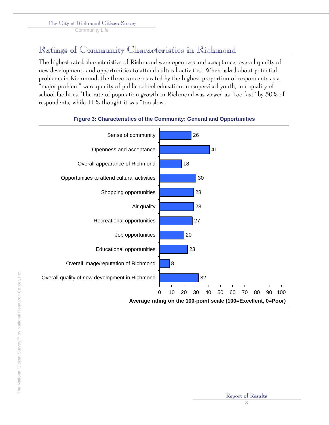Community Life

## Ratings of Community Characteristics in Richmond

The highest rated characteristics of Richmond were openness and acceptance, overall quality of new development, and opportunities to attend cultural activities. When asked about potential problems in Richmond, the three concerns rated by the highest proportion of respondents as a "major problem" were quality of public school education, unsupervised youth, and quality of school facilities. The rate of population growth in Richmond was viewed as "too fast" by 50% of respondents, while 11% thought it was "too slow."



## **Figure 3: Characteristics of the Community: General and Opportunities**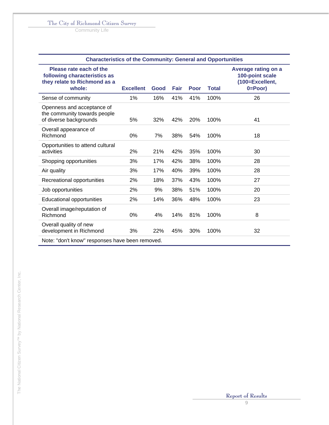Community Life

| <b>Characteristics of the Community: General and Opportunities</b>                                |                  |      |      |      |              |                                                                           |  |  |  |
|---------------------------------------------------------------------------------------------------|------------------|------|------|------|--------------|---------------------------------------------------------------------------|--|--|--|
| Please rate each of the<br>following characteristics as<br>they relate to Richmond as a<br>whole: | <b>Excellent</b> | Good | Fair | Poor | <b>Total</b> | Average rating on a<br>100-point scale<br>(100=Excellent,<br>$0 = Poor$ ) |  |  |  |
| Sense of community                                                                                | 1%               | 16%  | 41%  | 41%  | 100%         | 26                                                                        |  |  |  |
| Openness and acceptance of<br>the community towards people<br>of diverse backgrounds              | 5%               | 32%  | 42%  | 20%  | 100%         | 41                                                                        |  |  |  |
| Overall appearance of<br>Richmond                                                                 | 0%               | 7%   | 38%  | 54%  | 100%         | 18                                                                        |  |  |  |
| Opportunities to attend cultural<br>activities                                                    | 2%               | 21%  | 42%  | 35%  | 100%         | 30                                                                        |  |  |  |
| Shopping opportunities                                                                            | 3%               | 17%  | 42%  | 38%  | 100%         | 28                                                                        |  |  |  |
| Air quality                                                                                       | 3%               | 17%  | 40%  | 39%  | 100%         | 28                                                                        |  |  |  |
| Recreational opportunities                                                                        | 2%               | 18%  | 37%  | 43%  | 100%         | 27                                                                        |  |  |  |
| Job opportunities                                                                                 | 2%               | 9%   | 38%  | 51%  | 100%         | 20                                                                        |  |  |  |
| Educational opportunities                                                                         | 2%               | 14%  | 36%  | 48%  | 100%         | 23                                                                        |  |  |  |
| Overall image/reputation of<br>Richmond                                                           | $0\%$            | 4%   | 14%  | 81%  | 100%         | 8                                                                         |  |  |  |
| Overall quality of new<br>development in Richmond                                                 | 3%               | 22%  | 45%  | 30%  | 100%         | 32                                                                        |  |  |  |
| Note: "don't know" responses have been removed.                                                   |                  |      |      |      |              |                                                                           |  |  |  |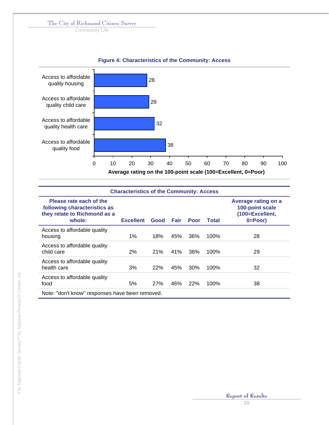Community Life

## **Figure 4: Characteristics of the Community: Access**



| <b>Characteristics of the Community: Access</b>                                                   |                  |      |             |      |       |                                                                           |  |  |  |  |
|---------------------------------------------------------------------------------------------------|------------------|------|-------------|------|-------|---------------------------------------------------------------------------|--|--|--|--|
| Please rate each of the<br>following characteristics as<br>they relate to Richmond as a<br>whole: | <b>Excellent</b> | Good | <b>Fair</b> | Poor | Total | Average rating on a<br>100-point scale<br>(100=Excellent,<br>$0 = Poor$ ) |  |  |  |  |
| Access to affordable quality<br>housing                                                           | 1%               | 18%  | 45%         | 36%  | 100%  | 28                                                                        |  |  |  |  |
| Access to affordable quality<br>child care                                                        | 2%               | 21%  | 41%         | 36%  | 100%  | 29                                                                        |  |  |  |  |
| Access to affordable quality<br>health care                                                       | 3%               | 22%  | 45%         | 30%  | 100%  | 32                                                                        |  |  |  |  |
| Access to affordable quality<br>food                                                              | 5%               | 27%  | 46%         | 22%  | 100%  | 38                                                                        |  |  |  |  |
| Note: "don't know" responses have been removed.                                                   |                  |      |             |      |       |                                                                           |  |  |  |  |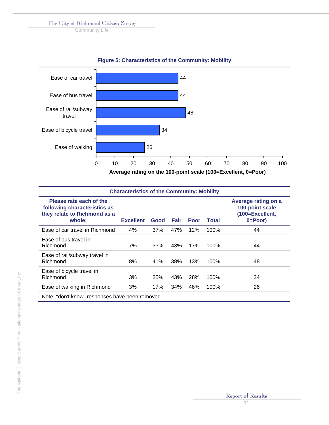Community Life



## **Figure 5: Characteristics of the Community: Mobility**

| <b>Characteristics of the Community: Mobility</b>                                                 |                  |      |      |      |       |                                                                           |  |  |  |  |
|---------------------------------------------------------------------------------------------------|------------------|------|------|------|-------|---------------------------------------------------------------------------|--|--|--|--|
| Please rate each of the<br>following characteristics as<br>they relate to Richmond as a<br>whole: | <b>Excellent</b> | Good | Fair | Poor | Total | Average rating on a<br>100-point scale<br>(100=Excellent,<br>$0 = Poor$ ) |  |  |  |  |
| Ease of car travel in Richmond                                                                    | 4%               | 37%  | 47%  | 12%  | 100%  | 44                                                                        |  |  |  |  |
| Ease of bus travel in<br>Richmond                                                                 | 7%               | 33%  | 43%  | 17%  | 100%  | 44                                                                        |  |  |  |  |
| Ease of rail/subway travel in<br>Richmond                                                         | 8%               | 41%  | 38%  | 13%  | 100%  | 48                                                                        |  |  |  |  |
| Ease of bicycle travel in<br>Richmond                                                             | 3%               | 25%  | 43%  | 28%  | 100%  | 34                                                                        |  |  |  |  |
| Ease of walking in Richmond                                                                       | 3%               | 17%  | 34%  | 46%  | 100%  | 26                                                                        |  |  |  |  |
| Note: "don't know" responses have been removed.                                                   |                  |      |      |      |       |                                                                           |  |  |  |  |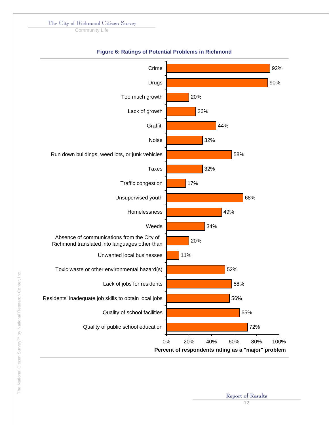Community Life



### **Figure 6: Ratings of Potential Problems in Richmond**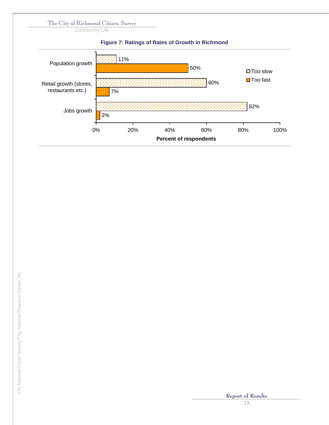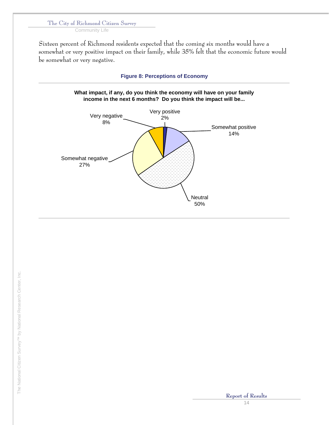Community Life

Sixteen percent of Richmond residents expected that the coming six months would have a somewhat or very positive impact on their family, while 35% felt that the economic future would be somewhat or very negative.

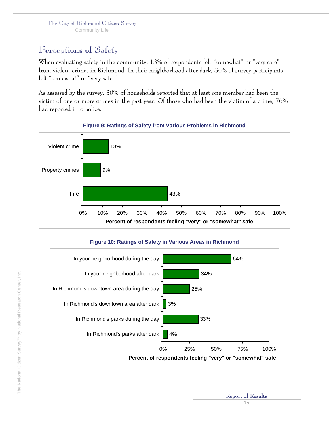Community Life

# Perceptions of Safety

When evaluating safety in the community, 13% of respondents felt "somewhat" or "very safe" from violent crimes in Richmond. In their neighborhood after dark, 34% of survey participants felt "somewhat" or "very safe."

As assessed by the survey, 30% of households reported that at least one member had been the victim of one or more crimes in the past year. Of those who had been the victim of a crime, 76% had reported it to police.



## **Figure 9: Ratings of Safety from Various Problems in Richmond**

## **Figure 10: Ratings of Safety in Various Areas in Richmond**

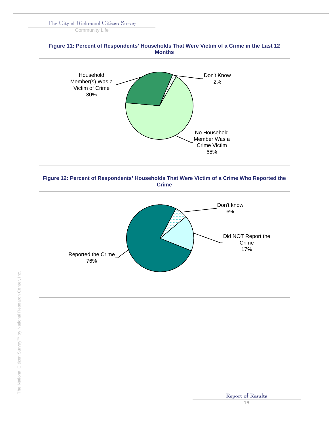Community Life

## **Figure 11: Percent of Respondents' Households That Were Victim of a Crime in the Last 12 Months**





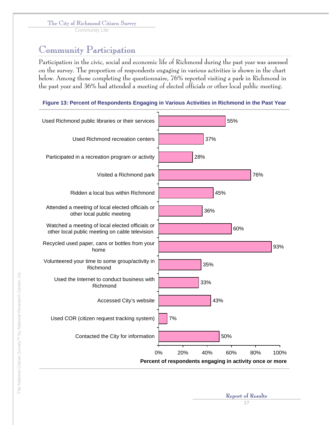Community Life

## Community Participation

Participation in the civic, social and economic life of Richmond during the past year was assessed on the survey. The proportion of respondents engaging in various activities is shown in the chart below. Among those completing the questionnaire, 76% reported visiting a park in Richmond in the past year and 36% had attended a meeting of elected officials or other local public meeting.





**Report of Results**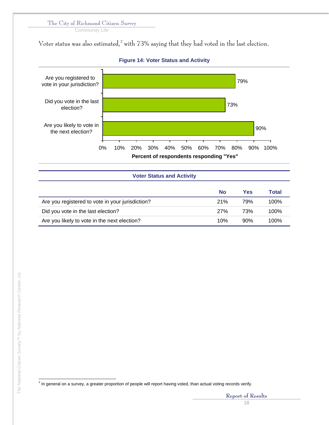Community Life

Voter status was also estimated, $^2$  with 73% saying that they had voted in the last election.



## **Figure 14: Voter Status and Activity**

Are you registered to vote in your jurisdiction? 21% 79% 100% Did you vote in the last election? The contraction of the last election? The contraction of the contraction of the contraction of the contraction of the contraction of the contraction of the contraction of the contraction Are you likely to vote in the next election? 10% 10% 90% 100%

 2 In general on a survey, a greater proportion of people will report having voted, than actual voting records verify.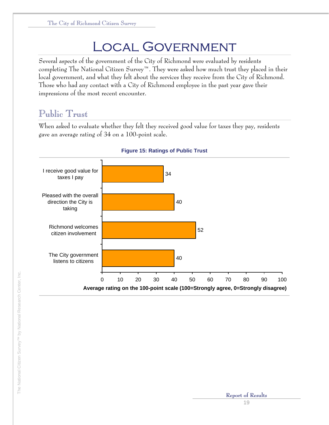# Local Government

Several aspects of the government of the City of Richmond were evaluated by residents completing The National Citizen Survey™. They were asked how much trust they placed in their local government, and what they felt about the services they receive from the City of Richmond. Those who had any contact with a City of Richmond employee in the past year gave their impressions of the most recent encounter.

## Public Trust

When asked to evaluate whether they felt they received good value for taxes they pay, residents gave an average rating of 34 on a 100-point scale.



**Figure 15: Ratings of Public Trust**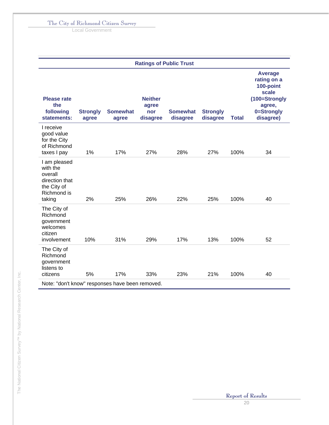Local Government

| <b>Ratings of Public Trust</b>                                                                |                          |                          |                                            |                             |                             |              |                                                                                                           |  |  |  |
|-----------------------------------------------------------------------------------------------|--------------------------|--------------------------|--------------------------------------------|-----------------------------|-----------------------------|--------------|-----------------------------------------------------------------------------------------------------------|--|--|--|
| <b>Please rate</b><br>the<br>following<br>statements:                                         | <b>Strongly</b><br>agree | <b>Somewhat</b><br>agree | <b>Neither</b><br>agree<br>nor<br>disagree | <b>Somewhat</b><br>disagree | <b>Strongly</b><br>disagree | <b>Total</b> | <b>Average</b><br>rating on a<br>100-point<br>scale<br>(100=Strongly<br>agree,<br>0=Strongly<br>disagree) |  |  |  |
| I receive<br>good value<br>for the City<br>of Richmond<br>taxes I pay                         | 1%                       | 17%                      | 27%                                        | 28%                         | 27%                         | 100%         | 34                                                                                                        |  |  |  |
| I am pleased<br>with the<br>overall<br>direction that<br>the City of<br>Richmond is<br>taking | 2%                       | 25%                      | 26%                                        | 22%                         | 25%                         | 100%         | 40                                                                                                        |  |  |  |
| The City of<br>Richmond<br>government<br>welcomes<br>citizen<br>involvement                   | 10%                      | 31%                      | 29%                                        | 17%                         | 13%                         | 100%         | 52                                                                                                        |  |  |  |
| The City of<br>Richmond<br>government<br>listens to<br>citizens                               | 5%                       | 17%                      | 33%                                        | 23%                         | 21%                         | 100%         | 40                                                                                                        |  |  |  |
| Note: "don't know" responses have been removed.                                               |                          |                          |                                            |                             |                             |              |                                                                                                           |  |  |  |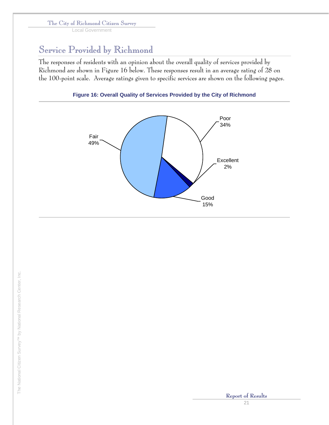Local Government

## Service Provided by Richmond

The responses of residents with an opinion about the overall quality of services provided by Richmond are shown in Figure 16 below. These responses result in an average rating of 28 on the 100-point scale. Average ratings given to specific services are shown on the following pages.



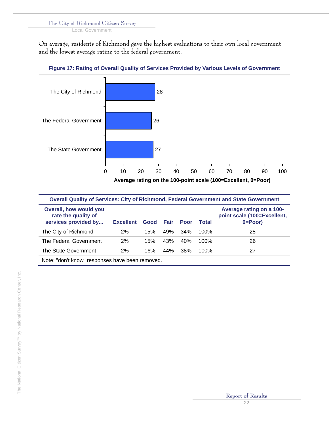Local Government

On average, residents of Richmond gave the highest evaluations to their own local government and the lowest average rating to the federal government.



## **Figure 17: Rating of Overall Quality of Services Provided by Various Levels of Government**

| <b>Overall Quality of Services: City of Richmond, Federal Government and State Government</b> |                  |      |      |             |         |                                                                         |  |  |  |  |
|-----------------------------------------------------------------------------------------------|------------------|------|------|-------------|---------|-------------------------------------------------------------------------|--|--|--|--|
| <b>Overall, how would you</b><br>rate the quality of<br>services provided by                  | <b>Excellent</b> | Good | Fair | <b>Poor</b> | Total   | Average rating on a 100-<br>point scale (100=Excellent,<br>$0 = Poor$ ) |  |  |  |  |
| The City of Richmond                                                                          | 2%               | 15%  | 49%  | 34%         | $100\%$ | 28                                                                      |  |  |  |  |
| The Federal Government                                                                        | 2%               | 15%  | 43%  | 40%         | 100%    | 26                                                                      |  |  |  |  |
| The State Government                                                                          | 2%               | 16%  | 44%  | .38%        | 100%    | 27                                                                      |  |  |  |  |
| Note: "don't know" responses have been removed.                                               |                  |      |      |             |         |                                                                         |  |  |  |  |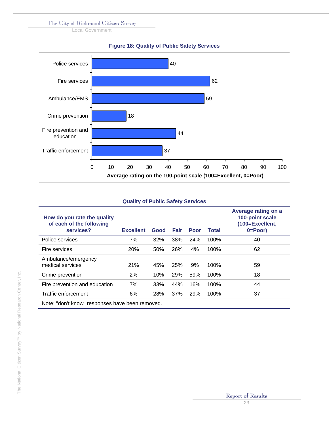Local Government



| <b>Quality of Public Safety Services</b>                             |                  |            |      |      |       |                                                                           |  |  |  |
|----------------------------------------------------------------------|------------------|------------|------|------|-------|---------------------------------------------------------------------------|--|--|--|
| How do you rate the quality<br>of each of the following<br>services? | <b>Excellent</b> | Good       | Fair | Poor | Total | Average rating on a<br>100-point scale<br>(100=Excellent,<br>$0 = Poor$ ) |  |  |  |
| Police services                                                      | 7%               | 32%        | 38%  | 24%  | 100%  | 40                                                                        |  |  |  |
| Fire services                                                        | <b>20%</b>       | 50%        | 26%  | 4%   | 100%  | 62                                                                        |  |  |  |
| Ambulance/emergency<br>medical services                              | 21%              | 45%        | 25%  | 9%   | 100%  | 59                                                                        |  |  |  |
| Crime prevention                                                     | 2%               | 10%        | 29%  | 59%  | 100%  | 18                                                                        |  |  |  |
| Fire prevention and education                                        | 7%               | 33%        | 44%  | 16%  | 100%  | 44                                                                        |  |  |  |
| Traffic enforcement                                                  | 6%               | <b>28%</b> | 37%  | 29%  | 100%  | 37                                                                        |  |  |  |
| Note: "don't know" responses have been removed.                      |                  |            |      |      |       |                                                                           |  |  |  |

# The National Citizen Survey™ by National Research Center, Inc. The National Citizen Survey<sup>TM</sup> by National Research Center, Inc.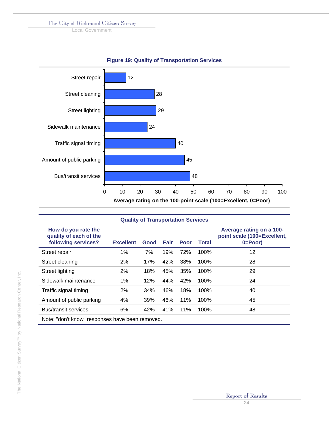Local Government



| <b>Figure 19: Quality of Transportation Services</b> |
|------------------------------------------------------|
|------------------------------------------------------|

| <b>Quality of Transportation Services</b>                            |                  |      |             |      |       |                                                                         |  |  |  |  |  |
|----------------------------------------------------------------------|------------------|------|-------------|------|-------|-------------------------------------------------------------------------|--|--|--|--|--|
| How do you rate the<br>quality of each of the<br>following services? | <b>Excellent</b> | Good | <b>Fair</b> | Poor | Total | Average rating on a 100-<br>point scale (100=Excellent,<br>$0 = Poor$ ) |  |  |  |  |  |
| Street repair                                                        | 1%               | 7%   | 19%         | 72%  | 100%  | 12                                                                      |  |  |  |  |  |
| Street cleaning                                                      | 2%               | 17%  | 42%         | 38%  | 100%  | 28                                                                      |  |  |  |  |  |
| Street lighting                                                      | 2%               | 18%  | 45%         | 35%  | 100%  | 29                                                                      |  |  |  |  |  |
| Sidewalk maintenance                                                 | 1%               | 12%  | 44%         | 42%  | 100%  | 24                                                                      |  |  |  |  |  |
| Traffic signal timing                                                | 2%               | 34%  | 46%         | 18%  | 100%  | 40                                                                      |  |  |  |  |  |
| Amount of public parking                                             | 4%               | 39%  | 46%         | 11%  | 100%  | 45                                                                      |  |  |  |  |  |
| <b>Bus/transit services</b>                                          | 6%               | 42%  | 41%         | 11%  | 100%  | 48                                                                      |  |  |  |  |  |
| Note: "don't know" responses have been removed.                      |                  |      |             |      |       |                                                                         |  |  |  |  |  |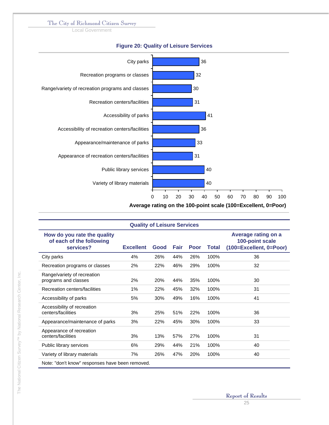Local Government



#### **Figure 20: Quality of Leisure Services**

| <b>Quality of Leisure Services</b>                                   |                  |      |      |             |       |                                                                          |  |  |  |
|----------------------------------------------------------------------|------------------|------|------|-------------|-------|--------------------------------------------------------------------------|--|--|--|
| How do you rate the quality<br>of each of the following<br>services? | <b>Excellent</b> | Good | Fair | <b>Poor</b> | Total | <b>Average rating on a</b><br>100-point scale<br>(100=Excellent, 0=Poor) |  |  |  |
| City parks                                                           | 4%               | 26%  | 44%  | 26%         | 100%  | 36                                                                       |  |  |  |
| Recreation programs or classes                                       | 2%               | 22%  | 46%  | 29%         | 100%  | 32                                                                       |  |  |  |
| Range/variety of recreation<br>programs and classes                  | 2%               | 20%  | 44%  | 35%         | 100%  | 30                                                                       |  |  |  |
| Recreation centers/facilities                                        | 1%               | 22%  | 45%  | 32%         | 100%  | 31                                                                       |  |  |  |
| Accessibility of parks                                               | 5%               | 30%  | 49%  | 16%         | 100%  | 41                                                                       |  |  |  |
| Accessibility of recreation<br>centers/facilities                    | 3%               | 25%  | 51%  | 22%         | 100%  | 36                                                                       |  |  |  |
| Appearance/maintenance of parks                                      | 3%               | 22%  | 45%  | 30%         | 100%  | 33                                                                       |  |  |  |
| Appearance of recreation<br>centers/facilities                       | 3%               | 13%  | 57%  | 27%         | 100%  | 31                                                                       |  |  |  |
| Public library services                                              | 6%               | 29%  | 44%  | 21%         | 100%  | 40                                                                       |  |  |  |
| Variety of library materials                                         | 7%               | 26%  | 47%  | 20%         | 100%  | 40                                                                       |  |  |  |
| Note: "don't know" responses have been removed.                      |                  |      |      |             |       |                                                                          |  |  |  |

# The National Citizen Survey™ by National Research Center, Inc. The National Citizen Survey<sup>TM</sup> by National Research Center, Inc.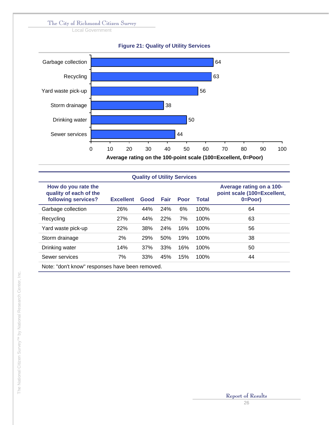Local Government





| <b>Quality of Utility Services</b>                                   |                  |      |            |             |              |                                                                         |  |  |  |  |  |
|----------------------------------------------------------------------|------------------|------|------------|-------------|--------------|-------------------------------------------------------------------------|--|--|--|--|--|
| How do you rate the<br>quality of each of the<br>following services? | <b>Excellent</b> | Good | Fair       | <b>Poor</b> | <b>Total</b> | Average rating on a 100-<br>point scale (100=Excellent,<br>$0 = Poor$ ) |  |  |  |  |  |
| Garbage collection                                                   | 26%              | 44%  | <b>24%</b> | 6%          | 100%         | 64                                                                      |  |  |  |  |  |
| Recycling                                                            | 27%              | 44%  | 22%        | 7%          | 100%         | 63                                                                      |  |  |  |  |  |
| Yard waste pick-up                                                   | 22%              | 38%  | 24%        | 16%         | 100%         | 56                                                                      |  |  |  |  |  |
| Storm drainage                                                       | 2%               | 29%  | 50%        | 19%         | 100%         | 38                                                                      |  |  |  |  |  |
| Drinking water                                                       | 14%              | 37%  | 33%        | 16%         | 100%         | 50                                                                      |  |  |  |  |  |
| Sewer services                                                       | 7%               | 33%  | 45%        | 15%         | 100%         | 44                                                                      |  |  |  |  |  |
| Note: "don't know" responses have been removed.                      |                  |      |            |             |              |                                                                         |  |  |  |  |  |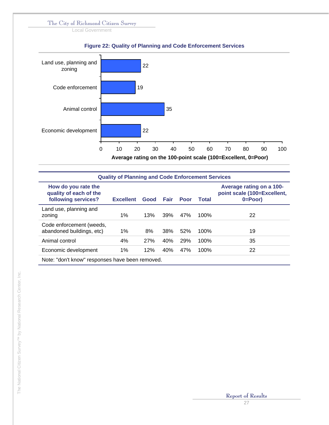Local Government



## **Figure 22: Quality of Planning and Code Enforcement Services**

| <b>Quality of Planning and Code Enforcement Services</b>             |                  |            |      |      |              |                                                                         |  |  |
|----------------------------------------------------------------------|------------------|------------|------|------|--------------|-------------------------------------------------------------------------|--|--|
| How do you rate the<br>quality of each of the<br>following services? | <b>Excellent</b> | Good       | Fair | Poor | <b>Total</b> | Average rating on a 100-<br>point scale (100=Excellent,<br>$0 = Poor$ ) |  |  |
| Land use, planning and<br>zoning                                     | $1\%$            | 13%        | 39%  | 47%  | 100%         | 22                                                                      |  |  |
| Code enforcement (weeds,<br>abandoned buildings, etc)                | 1%               | 8%         | 38%  | 52%  | 100%         | 19                                                                      |  |  |
| Animal control                                                       | 4%               | <b>27%</b> | 40%  | 29%  | 100%         | 35                                                                      |  |  |
| Economic development                                                 | 1%               | 12%        | 40%  | 47%  | 100%         | 22                                                                      |  |  |
| Note: "don't know" responses have been removed.                      |                  |            |      |      |              |                                                                         |  |  |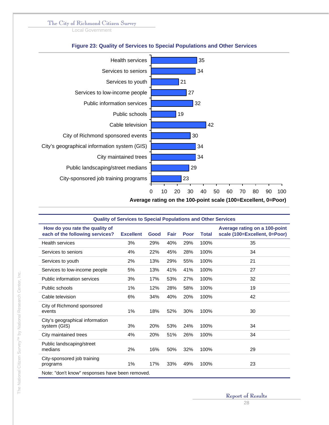Local Government



**Average rating on the 100-point scale (100=Excellent, 0=Poor)**

| <b>Quality of Services to Special Populations and Other Services</b> |                  |      |      |             |              |                                                                |  |
|----------------------------------------------------------------------|------------------|------|------|-------------|--------------|----------------------------------------------------------------|--|
| How do you rate the quality of<br>each of the following services?    | <b>Excellent</b> | Good | Fair | <b>Poor</b> | <b>Total</b> | Average rating on a 100-point<br>scale (100=Excellent, 0=Poor) |  |
| <b>Health services</b>                                               | 3%               | 29%  | 40%  | 29%         | 100%         | 35                                                             |  |
| Services to seniors                                                  | 4%               | 22%  | 45%  | 28%         | 100%         | 34                                                             |  |
| Services to youth                                                    | 2%               | 13%  | 29%  | 55%         | 100%         | 21                                                             |  |
| Services to low-income people                                        | 5%               | 13%  | 41%  | 41%         | 100%         | 27                                                             |  |
| Public information services                                          | 3%               | 17%  | 53%  | 27%         | 100%         | 32                                                             |  |
| Public schools                                                       | 1%               | 12%  | 28%  | 58%         | 100%         | 19                                                             |  |
| Cable television                                                     | 6%               | 34%  | 40%  | 20%         | 100%         | 42                                                             |  |
| City of Richmond sponsored<br>events                                 | 1%               | 18%  | 52%  | 30%         | 100%         | 30                                                             |  |
| City's geographical information<br>system (GIS)                      | 3%               | 20%  | 53%  | 24%         | 100%         | 34                                                             |  |
| City maintained trees                                                | 4%               | 20%  | 51%  | 26%         | 100%         | 34                                                             |  |
| Public landscaping/street<br>medians                                 | 2%               | 16%  | 50%  | 32%         | 100%         | 29                                                             |  |
| City-sponsored job training<br>programs                              | $1\%$            | 17%  | 33%  | 49%         | 100%         | 23                                                             |  |
| Note: "don't know" responses have been removed.                      |                  |      |      |             |              |                                                                |  |

## **Figure 23: Quality of Services to Special Populations and Other Services**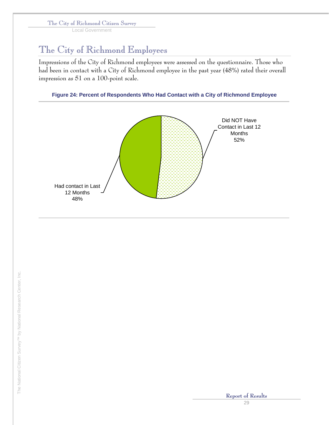Local Government

## The City of Richmond Employees

Impressions of the City of Richmond employees were assessed on the questionnaire. Those who had been in contact with a City of Richmond employee in the past year (48%) rated their overall impression as 51 on a 100-point scale.

## **Figure 24: Percent of Respondents Who Had Contact with a City of Richmond Employee**

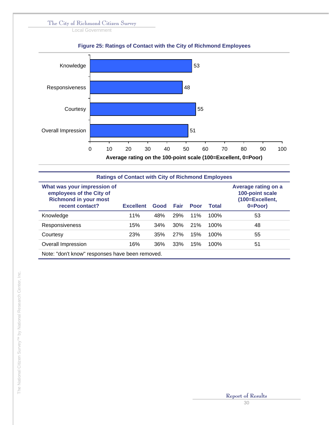Local Government



|  | <b>Figure 25: Ratings of Contact with the City of Richmond Employees</b> |  |  |
|--|--------------------------------------------------------------------------|--|--|
|  |                                                                          |  |  |

| <b>Ratings of Contact with City of Richmond Employees</b>                                                  |                  |      |             |             |              |                                                                           |  |
|------------------------------------------------------------------------------------------------------------|------------------|------|-------------|-------------|--------------|---------------------------------------------------------------------------|--|
| What was your impression of<br>employees of the City of<br><b>Richmond in your most</b><br>recent contact? | <b>Excellent</b> | Good | <b>Fair</b> | <b>Poor</b> | <b>Total</b> | Average rating on a<br>100-point scale<br>(100=Excellent,<br>$0 = Poor$ ) |  |
| Knowledge                                                                                                  | 11%              | 48%  | <b>29%</b>  | 11%         | 100%         | 53                                                                        |  |
| Responsiveness                                                                                             | 15%              | 34%  | 30%         | 21%         | 100%         | 48                                                                        |  |
| Courtesy                                                                                                   | 23%              | 35%  | 27%         | 15%         | 100%         | 55                                                                        |  |
| Overall Impression                                                                                         | 16%              | 36%  | <b>33%</b>  | 15%         | 100%         | 51                                                                        |  |
| Note: "don't know" responses have been removed.                                                            |                  |      |             |             |              |                                                                           |  |

The National Citizen Survey™ by National Research Center, Inc. The National Citizen Survey<sup>TM</sup> by National Research Center, Inc.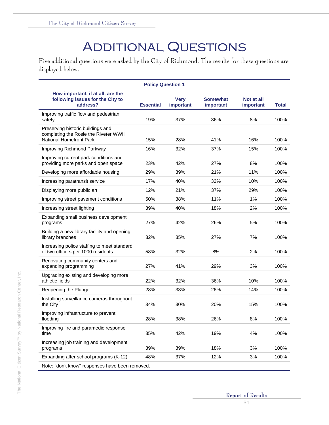# **ADDITIONAL QUESTIONS**

Five additional questions were asked by the City of Richmond. The results for these questions are displayed below.

| <b>Policy Question 1</b>                                                                              |                  |                          |                              |                         |              |  |  |  |
|-------------------------------------------------------------------------------------------------------|------------------|--------------------------|------------------------------|-------------------------|--------------|--|--|--|
| How important, if at all, are the<br>following issues for the City to<br>address?                     | <b>Essential</b> | <b>Very</b><br>important | <b>Somewhat</b><br>important | Not at all<br>important | <b>Total</b> |  |  |  |
| Improving traffic flow and pedestrian<br>safety                                                       | 19%              | 37%                      | 36%                          | 8%                      | 100%         |  |  |  |
| Preserving historic buildings and<br>completing the Rosie the Riveter WWII<br>National Homefront Park | 15%              | 28%                      | 41%                          | 16%                     | 100%         |  |  |  |
| Improving Richmond Parkway                                                                            | 16%              | 32%                      | 37%                          | 15%                     | 100%         |  |  |  |
| Improving current park conditions and<br>providing more parks and open space                          | 23%              | 42%                      | 27%                          | 8%                      | 100%         |  |  |  |
| Developing more affordable housing                                                                    | 29%              | 39%                      | 21%                          | 11%                     | 100%         |  |  |  |
| Increasing paratransit service                                                                        | 17%              | 40%                      | 32%                          | 10%                     | 100%         |  |  |  |
| Displaying more public art                                                                            | 12%              | 21%                      | 37%                          | 29%                     | 100%         |  |  |  |
| Improving street pavement conditions                                                                  | 50%              | 38%                      | 11%                          | 1%                      | 100%         |  |  |  |
| Increasing street lighting                                                                            | 39%              | 40%                      | 18%                          | 2%                      | 100%         |  |  |  |
| Expanding small business development<br>programs                                                      | 27%              | 42%                      | 26%                          | 5%                      | 100%         |  |  |  |
| Building a new library facility and opening<br>library branches                                       | 32%              | 35%                      | 27%                          | 7%                      | 100%         |  |  |  |
| Increasing police staffing to meet standard<br>of two officers per 1000 residents                     | 58%              | 32%                      | 8%                           | 2%                      | 100%         |  |  |  |
| Renovating community centers and<br>expanding programming                                             | 27%              | 41%                      | 29%                          | 3%                      | 100%         |  |  |  |
| Upgrading existing and developing more<br>athletic fields                                             | 22%              | 32%                      | 36%                          | 10%                     | 100%         |  |  |  |
| Reopening the Plunge                                                                                  | 28%              | 33%                      | 26%                          | 14%                     | 100%         |  |  |  |
| Installing surveillance cameras throughout<br>the City                                                | 34%              | 30%                      | 20%                          | 15%                     | 100%         |  |  |  |
| Improving infrastructure to prevent<br>flooding                                                       | 28%              | 38%                      | 26%                          | 8%                      | 100%         |  |  |  |
| Improving fire and paramedic response<br>time                                                         | 35%              | 42%                      | 19%                          | 4%                      | 100%         |  |  |  |
| Increasing job training and development<br>programs                                                   | 39%              | 39%                      | 18%                          | 3%                      | 100%         |  |  |  |
| Expanding after school programs (K-12)                                                                | 48%              | 37%                      | 12%                          | 3%                      | 100%         |  |  |  |
| Note: "don't know" responses have been removed.                                                       |                  |                          |                              |                         |              |  |  |  |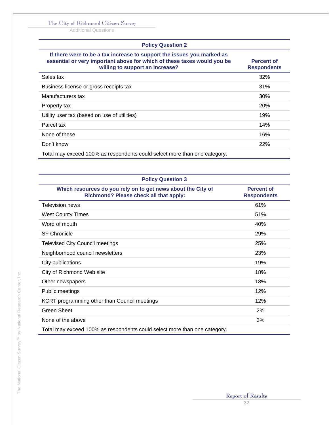Additional Questions

## **Policy Question 2**

| If there were to be a tax increase to support the issues you marked as<br>essential or very important above for which of these taxes would you be<br>willing to support an increase? | <b>Percent of</b><br><b>Respondents</b> |
|--------------------------------------------------------------------------------------------------------------------------------------------------------------------------------------|-----------------------------------------|
| Sales tax                                                                                                                                                                            | 32%                                     |
| Business license or gross receipts tax                                                                                                                                               | 31%                                     |
| Manufacturers tax                                                                                                                                                                    | 30%                                     |
| Property tax                                                                                                                                                                         | <b>20%</b>                              |
| Utility user tax (based on use of utilities)                                                                                                                                         | 19%                                     |
| Parcel tax                                                                                                                                                                           | 14%                                     |
| None of these                                                                                                                                                                        | 16%                                     |
| Don't know                                                                                                                                                                           | 22%                                     |
| Total may exceed 100% as respondents could select more than one category.                                                                                                            |                                         |

| <b>Policy Question 3</b>                                                                               |                                         |
|--------------------------------------------------------------------------------------------------------|-----------------------------------------|
| Which resources do you rely on to get news about the City of<br>Richmond? Please check all that apply: | <b>Percent of</b><br><b>Respondents</b> |
| <b>Television news</b>                                                                                 | 61%                                     |
| <b>West County Times</b>                                                                               | 51%                                     |
| Word of mouth                                                                                          | 40%                                     |
| <b>SF Chronicle</b>                                                                                    | 29%                                     |
| <b>Televised City Council meetings</b>                                                                 | 25%                                     |
| Neighborhood council newsletters                                                                       | 23%                                     |
| City publications                                                                                      | 19%                                     |
| City of Richmond Web site                                                                              | 18%                                     |
| Other newspapers                                                                                       | 18%                                     |
| Public meetings                                                                                        | 12%                                     |
| KCRT programming other than Council meetings                                                           | 12%                                     |
| <b>Green Sheet</b>                                                                                     | 2%                                      |
| None of the above                                                                                      | 3%                                      |
| Total may exceed 100% as respondents could select more than one category.                              |                                         |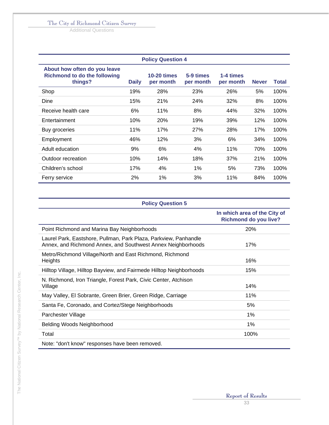Additional Questions

|                                                                                |              | <b>Policy Question 4</b>        |                        |                        |              |              |
|--------------------------------------------------------------------------------|--------------|---------------------------------|------------------------|------------------------|--------------|--------------|
| About how often do you leave<br><b>Richmond to do the following</b><br>things? | <b>Daily</b> | <b>10-20 times</b><br>per month | 5-9 times<br>per month | 1-4 times<br>per month | <b>Never</b> | <b>Total</b> |
| Shop                                                                           | 19%          | 28%                             | 23%                    | 26%                    | 5%           | 100%         |
| Dine                                                                           | 15%          | 21%                             | 24%                    | 32%                    | 8%           | 100%         |
| Receive health care                                                            | 6%           | 11%                             | 8%                     | 44%                    | 32%          | 100%         |
| Entertainment                                                                  | 10%          | 20%                             | 19%                    | 39%                    | 12%          | 100%         |
| Buy groceries                                                                  | 11%          | 17%                             | 27%                    | 28%                    | 17%          | 100%         |
| Employment                                                                     | 46%          | 12%                             | 3%                     | 6%                     | 34%          | 100%         |
| Adult education                                                                | 9%           | 6%                              | 4%                     | 11%                    | 70%          | 100%         |
| Outdoor recreation                                                             | 10%          | 14%                             | 18%                    | 37%                    | 21%          | 100%         |
| Children's school                                                              | 17%          | 4%                              | $1\%$                  | 5%                     | 73%          | 100%         |
| Ferry service                                                                  | 2%           | 1%                              | 3%                     | 11%                    | 84%          | 100%         |

|  |  |  | <b>Policy Question 5</b> |
|--|--|--|--------------------------|
|--|--|--|--------------------------|

|                                                                                                                                  | In which area of the City of<br><b>Richmond do you live?</b> |
|----------------------------------------------------------------------------------------------------------------------------------|--------------------------------------------------------------|
| Point Richmond and Marina Bay Neighborhoods                                                                                      | <b>20%</b>                                                   |
| Laurel Park, Eastshore, Pullman, Park Plaza, Parkview, Panhandle<br>Annex, and Richmond Annex, and Southwest Annex Neighborhoods | 17%                                                          |
| Metro/Richmond Village/North and East Richmond, Richmond<br><b>Heights</b>                                                       | 16%                                                          |
| Hilltop Village, Hilltop Bayview, and Fairmede Hilltop Neighborhoods                                                             | 15%                                                          |
| N. Richmond, Iron Triangle, Forest Park, Civic Center, Atchison<br>Village                                                       | 14%                                                          |
| May Valley, El Sobrante, Green Brier, Green Ridge, Carriage                                                                      | 11%                                                          |
| Santa Fe, Coronado, and Cortez/Stege Neighborhoods                                                                               | 5%                                                           |
| Parchester Village                                                                                                               | 1%                                                           |
| Belding Woods Neighborhood                                                                                                       | 1%                                                           |
| Total                                                                                                                            | 100%                                                         |
| Note: "don't know" responses have been removed.                                                                                  |                                                              |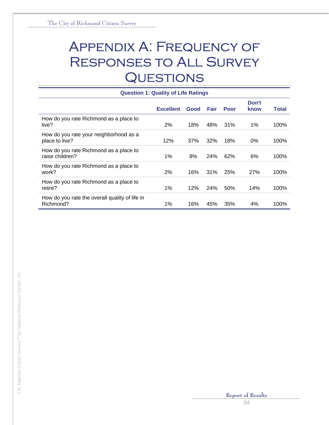# Appendix A: Frequency of Responses to All Survey **QUESTIONS**

| <b>Question 1: Quality of Life Ratings</b>                  |                  |      |            |             |               |       |
|-------------------------------------------------------------|------------------|------|------------|-------------|---------------|-------|
|                                                             | <b>Excellent</b> | Good | Fair       | <b>Poor</b> | Don't<br>know | Total |
| How do you rate Richmond as a place to<br>live?             | 2%               | 18%  | 48%        | 31%         | $1\%$         | 100%  |
| How do you rate your neighborhood as a<br>place to live?    | 12%              | 37%  | 32%        | 18%         | $0\%$         | 100%  |
| How do you rate Richmond as a place to<br>raise children?   | 1%               | 8%   | 24%        | 62%         | 6%            | 100%  |
| How do you rate Richmond as a place to<br>work?             | 2%               | 16%  | 31%        | 25%         | 27%           | 100%  |
| How do you rate Richmond as a place to<br>retire?           | 1%               | 12%  | <b>24%</b> | 50%         | 14%           | 100%  |
| How do you rate the overall quality of life in<br>Richmond? | 1%               | 16%  | 45%        | 35%         | 4%            | 100%  |

# The National Citizen Survey™ by National Research Center, Inc. The National Citizen Survey<sup>TM</sup> by National Research Center, Inc.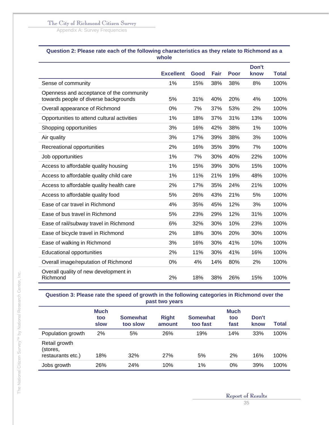Appendix A: Survey Frequencies

|                                                                                   | <b>Excellent</b> | Good | <b>Fair</b> | <b>Poor</b> | Don't<br>know | <b>Total</b> |
|-----------------------------------------------------------------------------------|------------------|------|-------------|-------------|---------------|--------------|
| Sense of community                                                                | 1%               | 15%  | 38%         | 38%         | 8%            | 100%         |
| Openness and acceptance of the community<br>towards people of diverse backgrounds | 5%               | 31%  | 40%         | 20%         | 4%            | 100%         |
| Overall appearance of Richmond                                                    | 0%               | 7%   | 37%         | 53%         | 2%            | 100%         |
| Opportunities to attend cultural activities                                       | 1%               | 18%  | 37%         | 31%         | 13%           | 100%         |
| Shopping opportunities                                                            | 3%               | 16%  | 42%         | 38%         | 1%            | 100%         |
| Air quality                                                                       | 3%               | 17%  | 39%         | 38%         | 3%            | 100%         |
| Recreational opportunities                                                        | 2%               | 16%  | 35%         | 39%         | 7%            | 100%         |
| Job opportunities                                                                 | 1%               | 7%   | 30%         | 40%         | 22%           | 100%         |
| Access to affordable quality housing                                              | 1%               | 15%  | 39%         | 30%         | 15%           | 100%         |
| Access to affordable quality child care                                           | 1%               | 11%  | 21%         | 19%         | 48%           | 100%         |
| Access to affordable quality health care                                          | 2%               | 17%  | 35%         | 24%         | 21%           | 100%         |
| Access to affordable quality food                                                 | 5%               | 26%  | 43%         | 21%         | 5%            | 100%         |
| Ease of car travel in Richmond                                                    | 4%               | 35%  | 45%         | 12%         | 3%            | 100%         |
| Ease of bus travel in Richmond                                                    | 5%               | 23%  | 29%         | 12%         | 31%           | 100%         |
| Ease of rail/subway travel in Richmond                                            | 6%               | 32%  | 30%         | 10%         | 23%           | 100%         |
| Ease of bicycle travel in Richmond                                                | 2%               | 18%  | 30%         | 20%         | 30%           | 100%         |
| Ease of walking in Richmond                                                       | 3%               | 16%  | 30%         | 41%         | 10%           | 100%         |
| <b>Educational opportunities</b>                                                  | 2%               | 11%  | 30%         | 41%         | 16%           | 100%         |
| Overall image/reputation of Richmond                                              | 0%               | 4%   | 14%         | 80%         | 2%            | 100%         |
| Overall quality of new development in<br>Richmond                                 | 2%               | 18%  | 38%         | 26%         | 15%           | 100%         |

# **Question 2: Please rate each of the following characteristics as they relate to Richmond as a**

**Question 3: Please rate the speed of growth in the following categories in Richmond over the past two years** 

|                                                | <b>Much</b><br>too<br>slow | <b>Somewhat</b><br>too slow | <b>Right</b><br>amount | <b>Somewhat</b><br>too fast | <b>Much</b><br>too<br>fast | Don't<br>know | Total |
|------------------------------------------------|----------------------------|-----------------------------|------------------------|-----------------------------|----------------------------|---------------|-------|
| Population growth                              | 2%                         | 5%                          | 26%                    | 19%                         | 14%                        | 33%           | 100%  |
| Retail growth<br>(stores,<br>restaurants etc.) | 18%                        | 32%                         | 27%                    | 5%                          | 2%                         | 16%           | 100%  |
| Jobs growth                                    | 26%                        | 24%                         | 10%                    | $1\%$                       | 0%                         | 39%           | 100%  |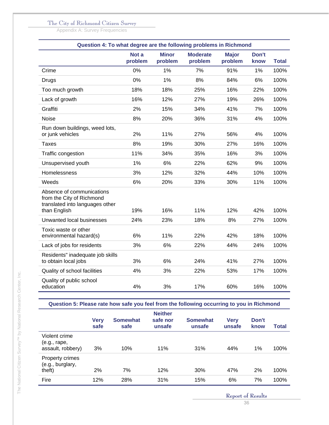Appendix A: Survey Frequencies

|                                                                                                           | Question 4: To what degree are the following problems in Richmond |                         |                            |                         |               |              |  |  |  |  |
|-----------------------------------------------------------------------------------------------------------|-------------------------------------------------------------------|-------------------------|----------------------------|-------------------------|---------------|--------------|--|--|--|--|
|                                                                                                           | Not a<br>problem                                                  | <b>Minor</b><br>problem | <b>Moderate</b><br>problem | <b>Major</b><br>problem | Don't<br>know | <b>Total</b> |  |  |  |  |
| Crime                                                                                                     | 0%                                                                | 1%                      | 7%                         | 91%                     | 1%            | 100%         |  |  |  |  |
| <b>Drugs</b>                                                                                              | 0%                                                                | 1%                      | 8%                         | 84%                     | 6%            | 100%         |  |  |  |  |
| Too much growth                                                                                           | 18%                                                               | 18%                     | 25%                        | 16%                     | 22%           | 100%         |  |  |  |  |
| Lack of growth                                                                                            | 16%                                                               | 12%                     | 27%                        | 19%                     | 26%           | 100%         |  |  |  |  |
| Graffiti                                                                                                  | 2%                                                                | 15%                     | 34%                        | 41%                     | 7%            | 100%         |  |  |  |  |
| <b>Noise</b>                                                                                              | 8%                                                                | 20%                     | 36%                        | 31%                     | 4%            | 100%         |  |  |  |  |
| Run down buildings, weed lots,<br>or junk vehicles                                                        | 2%                                                                | 11%                     | 27%                        | 56%                     | 4%            | 100%         |  |  |  |  |
| <b>Taxes</b>                                                                                              | 8%                                                                | 19%                     | 30%                        | 27%                     | 16%           | 100%         |  |  |  |  |
| Traffic congestion                                                                                        | 11%                                                               | 34%                     | 35%                        | 16%                     | 3%            | 100%         |  |  |  |  |
| Unsupervised youth                                                                                        | 1%                                                                | 6%                      | 22%                        | 62%                     | 9%            | 100%         |  |  |  |  |
| Homelessness                                                                                              | 3%                                                                | 12%                     | 32%                        | 44%                     | 10%           | 100%         |  |  |  |  |
| Weeds                                                                                                     | 6%                                                                | 20%                     | 33%                        | 30%                     | 11%           | 100%         |  |  |  |  |
| Absence of communications<br>from the City of Richmond<br>translated into languages other<br>than English | 19%                                                               | 16%                     | 11%                        | 12%                     | 42%           | 100%         |  |  |  |  |
| Unwanted local businesses                                                                                 | 24%                                                               | 23%                     | 18%                        | 8%                      | 27%           | 100%         |  |  |  |  |
| Toxic waste or other<br>environmental hazard(s)                                                           | 6%                                                                | 11%                     | 22%                        | 42%                     | 18%           | 100%         |  |  |  |  |
| Lack of jobs for residents                                                                                | 3%                                                                | 6%                      | 22%                        | 44%                     | 24%           | 100%         |  |  |  |  |
| Residents" inadequate job skills<br>to obtain local jobs                                                  | 3%                                                                | 6%                      | 24%                        | 41%                     | 27%           | 100%         |  |  |  |  |
| Quality of school facilities                                                                              | 4%                                                                | 3%                      | 22%                        | 53%                     | 17%           | 100%         |  |  |  |  |
| Quality of public school<br>education                                                                     | 4%                                                                | 3%                      | 17%                        | 60%                     | 16%           | 100%         |  |  |  |  |

**Question 5: Please rate how safe you feel from the following occurring to you in Richmond** 

|                                                    | <b>Very</b><br>safe | <b>Somewhat</b><br>safe | <b>Neither</b><br>safe nor<br>unsafe | <b>Somewhat</b><br>unsafe | <b>Very</b><br>unsafe | Don't<br>know | Total |
|----------------------------------------------------|---------------------|-------------------------|--------------------------------------|---------------------------|-----------------------|---------------|-------|
| Violent crime<br>(e.g., rape,<br>assault, robbery) | 3%                  | 10%                     | 11%                                  | 31%                       | 44%                   | 1%            | 100%  |
| Property crimes<br>(e.g., burglary,<br>theft)      | 2%                  | 7%                      | 12%                                  | 30%                       | 47%                   | 2%            | 100%  |
| Fire                                               | 12%                 | 28%                     | 31%                                  | 15%                       | 6%                    | 7%            | 100%  |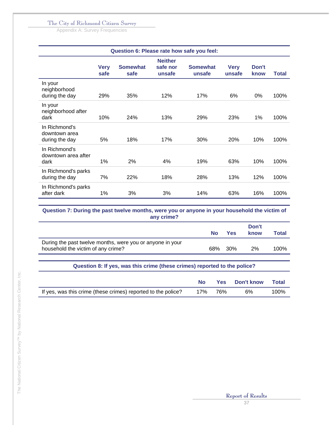Appendix A: Survey Frequencies

|                                                  | Question 6: Please rate how safe you feel: |                         |                                      |                           |                       |               |              |  |  |
|--------------------------------------------------|--------------------------------------------|-------------------------|--------------------------------------|---------------------------|-----------------------|---------------|--------------|--|--|
|                                                  | <b>Very</b><br>safe                        | <b>Somewhat</b><br>safe | <b>Neither</b><br>safe nor<br>unsafe | <b>Somewhat</b><br>unsafe | <b>Very</b><br>unsafe | Don't<br>know | <b>Total</b> |  |  |
| In your<br>neighborhood<br>during the day        | 29%                                        | 35%                     | 12%                                  | 17%                       | 6%                    | $0\%$         | 100%         |  |  |
| In your<br>neighborhood after<br>dark            | 10%                                        | 24%                     | 13%                                  | 29%                       | 23%                   | 1%            | 100%         |  |  |
| In Richmond's<br>downtown area<br>during the day | 5%                                         | 18%                     | 17%                                  | 30%                       | 20%                   | 10%           | 100%         |  |  |
| In Richmond's<br>downtown area after<br>dark     | 1%                                         | 2%                      | 4%                                   | 19%                       | 63%                   | 10%           | 100%         |  |  |
| In Richmond's parks<br>during the day            | 7%                                         | 22%                     | 18%                                  | 28%                       | 13%                   | 12%           | 100%         |  |  |
| In Richmond's parks<br>after dark                | 1%                                         | 3%                      | 3%                                   | 14%                       | 63%                   | 16%           | 100%         |  |  |

#### **Question 7: During the past twelve months, were you or anyone in your household the victim of any crime?**

|                                                                                                 | <b>No</b> | <b>Yes</b> | Don't<br>know | Total |
|-------------------------------------------------------------------------------------------------|-----------|------------|---------------|-------|
| During the past twelve months, were you or anyone in your<br>household the victim of any crime? |           | 68% 30%    | 2%            | 100%  |

### **Question 8: If yes, was this crime (these crimes) reported to the police?**

|                                                               | No. |         | <b>Yes</b> Don't know | Total |
|---------------------------------------------------------------|-----|---------|-----------------------|-------|
| If yes, was this crime (these crimes) reported to the police? |     | 17% 76% | 6%                    | 100%  |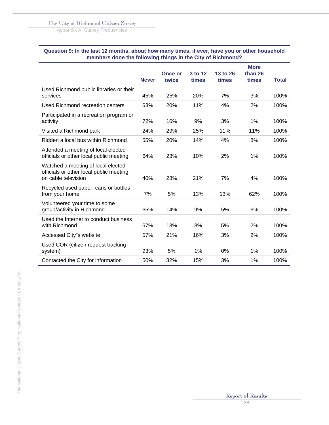Appendix A: Survey Frequencies

#### **Question 9: In the last 12 months, about how many times, if ever, have you or other household members done the following things in the City of Richmond?**

|                                                                                                      | <b>Never</b> | <b>Once or</b><br>twice | 3 to 12<br>times | 13 to 26<br>times | <b>More</b><br>than 26<br>times | <b>Total</b> |
|------------------------------------------------------------------------------------------------------|--------------|-------------------------|------------------|-------------------|---------------------------------|--------------|
| Used Richmond public libraries or their<br>services                                                  | 45%          | 25%                     | 20%              | 7%                | 3%                              | 100%         |
| Used Richmond recreation centers                                                                     | 63%          | 20%                     | 11%              | 4%                | 2%                              | 100%         |
| Participated in a recreation program or<br>activity                                                  | 72%          | 16%                     | 9%               | 3%                | 1%                              | 100%         |
| Visited a Richmond park                                                                              | 24%          | 29%                     | 25%              | 11%               | 11%                             | 100%         |
| Ridden a local bus within Richmond                                                                   | 55%          | 20%                     | 14%              | 4%                | 8%                              | 100%         |
| Attended a meeting of local elected<br>officials or other local public meeting                       | 64%          | 23%                     | 10%              | 2%                | 1%                              | 100%         |
| Watched a meeting of local elected<br>officials or other local public meeting<br>on cable television | 40%          | 28%                     | 21%              | 7%                | 4%                              | 100%         |
| Recycled used paper, cans or bottles<br>from your home                                               | 7%           | 5%                      | 13%              | 13%               | 62%                             | 100%         |
| Volunteered your time to some<br>group/activity in Richmond                                          | 65%          | 14%                     | 9%               | 5%                | 6%                              | 100%         |
| Used the Internet to conduct business<br>with Richmond                                               | 67%          | 18%                     | 8%               | 5%                | 2%                              | 100%         |
| Accessed City"s website                                                                              | 57%          | 21%                     | 16%              | 3%                | 2%                              | 100%         |
| Used COR (citizen request tracking<br>system)                                                        | 93%          | 5%                      | 1%               | 0%                | 1%                              | 100%         |
| Contacted the City for information                                                                   | 50%          | 32%                     | 15%              | 3%                | 1%                              | 100%         |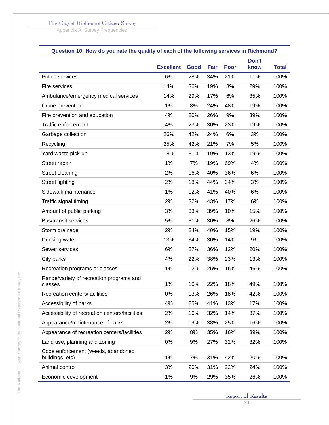Appendix A: Survey Frequencies

# **Question 10: How do you rate the quality of each of the following services in Richmond?**

|                                                       | <b>Excellent</b> | Good | <b>Fair</b> | <b>Poor</b> | Don't<br>know | <b>Total</b> |
|-------------------------------------------------------|------------------|------|-------------|-------------|---------------|--------------|
| Police services                                       | 6%               | 28%  | 34%         | 21%         | 11%           | 100%         |
| Fire services                                         | 14%              | 36%  | 19%         | 3%          | 29%           | 100%         |
| Ambulance/emergency medical services                  | 14%              | 29%  | 17%         | 6%          | 35%           | 100%         |
| Crime prevention                                      | 1%               | 8%   | 24%         | 48%         | 19%           | 100%         |
| Fire prevention and education                         | 4%               | 20%  | 26%         | 9%          | 39%           | 100%         |
| <b>Traffic enforcement</b>                            | 4%               | 23%  | 30%         | 23%         | 19%           | 100%         |
| Garbage collection                                    | 26%              | 42%  | 24%         | 6%          | 3%            | 100%         |
| Recycling                                             | 25%              | 42%  | 21%         | 7%          | 5%            | 100%         |
| Yard waste pick-up                                    | 18%              | 31%  | 19%         | 13%         | 19%           | 100%         |
| Street repair                                         | 1%               | 7%   | 19%         | 69%         | 4%            | 100%         |
| Street cleaning                                       | 2%               | 16%  | 40%         | 36%         | 6%            | 100%         |
| <b>Street lighting</b>                                | 2%               | 18%  | 44%         | 34%         | 3%            | 100%         |
| Sidewalk maintenance                                  | 1%               | 12%  | 41%         | 40%         | 6%            | 100%         |
| Traffic signal timing                                 | 2%               | 32%  | 43%         | 17%         | 6%            | 100%         |
| Amount of public parking                              | 3%               | 33%  | 39%         | 10%         | 15%           | 100%         |
| <b>Bus/transit services</b>                           | 5%               | 31%  | 30%         | 8%          | 26%           | 100%         |
| Storm drainage                                        | 2%               | 24%  | 40%         | 15%         | 19%           | 100%         |
| Drinking water                                        | 13%              | 34%  | 30%         | 14%         | 9%            | 100%         |
| Sewer services                                        | 6%               | 27%  | 36%         | 12%         | 20%           | 100%         |
| City parks                                            | 4%               | 22%  | 38%         | 23%         | 13%           | 100%         |
| Recreation programs or classes                        | 1%               | 12%  | 25%         | 16%         | 46%           | 100%         |
| Range/variety of recreation programs and<br>classes   | 1%               | 10%  | 22%         | 18%         | 49%           | 100%         |
| Recreation centers/facilities                         | 0%               | 13%  | 26%         | 18%         | 42%           | 100%         |
| Accessibility of parks                                | 4%               | 25%  | 41%         | 13%         | 17%           | 100%         |
| Accessibility of recreation centers/facilities        | 2%               | 16%  | 32%         | 14%         | 37%           | 100%         |
| Appearance/maintenance of parks                       | 2%               | 19%  | 38%         | 25%         | 16%           | 100%         |
| Appearance of recreation centers/facilities           | 2%               | 8%   | 35%         | 16%         | 39%           | 100%         |
| Land use, planning and zoning                         | 0%               | 9%   | 27%         | 32%         | 32%           | 100%         |
| Code enforcement (weeds, abandoned<br>buildings, etc) | 1%               | 7%   | 31%         | 42%         | 20%           | 100%         |
| Animal control                                        | 3%               | 20%  | 31%         | 22%         | 24%           | 100%         |
| Economic development                                  | 1%               | 9%   | 29%         | 35%         | 26%           | 100%         |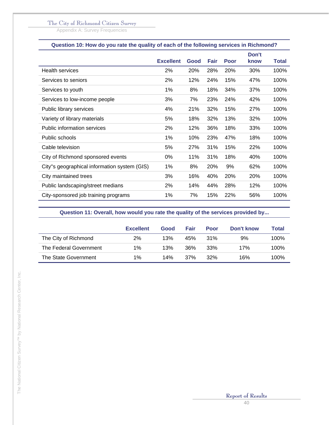Appendix A: Survey Frequencies

| Question 10: How do you rate the quality of each of the following services in Richmond? |                  |      |      |      |               |              |  |  |
|-----------------------------------------------------------------------------------------|------------------|------|------|------|---------------|--------------|--|--|
|                                                                                         | <b>Excellent</b> | Good | Fair | Poor | Don't<br>know | <b>Total</b> |  |  |
| <b>Health services</b>                                                                  | 2%               | 20%  | 28%  | 20%  | 30%           | 100%         |  |  |
| Services to seniors                                                                     | 2%               | 12%  | 24%  | 15%  | 47%           | 100%         |  |  |
| Services to youth                                                                       | 1%               | 8%   | 18%  | 34%  | 37%           | 100%         |  |  |
| Services to low-income people                                                           | 3%               | 7%   | 23%  | 24%  | 42%           | 100%         |  |  |
| Public library services                                                                 | 4%               | 21%  | 32%  | 15%  | 27%           | 100%         |  |  |
| Variety of library materials                                                            | 5%               | 18%  | 32%  | 13%  | 32%           | 100%         |  |  |
| <b>Public information services</b>                                                      | 2%               | 12%  | 36%  | 18%  | 33%           | 100%         |  |  |
| Public schools                                                                          | 1%               | 10%  | 23%  | 47%  | 18%           | 100%         |  |  |
| Cable television                                                                        | 5%               | 27%  | 31%  | 15%  | 22%           | 100%         |  |  |
| City of Richmond sponsored events                                                       | 0%               | 11%  | 31%  | 18%  | 40%           | 100%         |  |  |
| City"s geographical information system (GIS)                                            | 1%               | 8%   | 20%  | 9%   | 62%           | 100%         |  |  |
| City maintained trees                                                                   | 3%               | 16%  | 40%  | 20%  | 20%           | 100%         |  |  |
| Public landscaping/street medians                                                       | 2%               | 14%  | 44%  | 28%  | 12%           | 100%         |  |  |
| City-sponsored job training programs                                                    | 1%               | 7%   | 15%  | 22%  | 56%           | 100%         |  |  |

### **Question 11: Overall, how would you rate the quality of the services provided by...**

|                        | <b>Excellent</b> | Good | Fair | Poor | Don't know | Total |
|------------------------|------------------|------|------|------|------------|-------|
| The City of Richmond   | 2%               | 13%  | 45%  | 31%  | 9%         | 100%  |
| The Federal Government | $1\%$            | 13%  | 36%  | 33%  | 17%        | 100%  |
| The State Government   | $1\%$            | 14%  | 37%  | 32%  | 16%        | 100%  |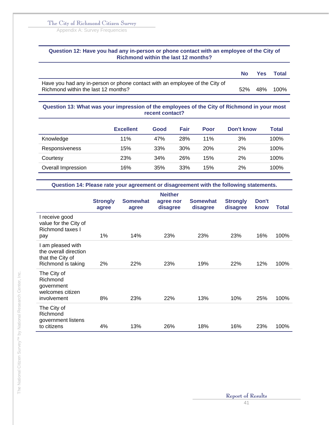Appendix A: Survey Frequencies

#### **Question 12: Have you had any in-person or phone contact with an employee of the City of Richmond within the last 12 months?**

|                                                                                                                    | No. | <b>Yes</b> | Total |
|--------------------------------------------------------------------------------------------------------------------|-----|------------|-------|
| Have you had any in-person or phone contact with an employee of the City of<br>Richmond within the last 12 months? | 52% | 48%        | 100%  |

#### **Question 13: What was your impression of the employees of the City of Richmond in your most recent contact?**

|                       | <b>Excellent</b> | Good | <b>Fair</b> | <b>Poor</b> | Don't know | Total |
|-----------------------|------------------|------|-------------|-------------|------------|-------|
| Knowledge             | 11%              | 47%  | 28%         | 11%         | 3%         | 100%  |
| <b>Responsiveness</b> | 15%              | 33%  | 30%         | <b>20%</b>  | 2%         | 100%  |
| Courtesy              | 23%              | 34%  | 26%         | 15%         | 2%         | 100%  |
| Overall Impression    | 16%              | 35%  | 33%         | 15%         | 2%         | 100%  |

**Question 14: Please rate your agreement or disagreement with the following statements.** 

|                                                                                      | <b>Strongly</b><br>agree | <b>Somewhat</b><br>agree | <b>Neither</b><br>agree nor<br>disagree | <b>Somewhat</b><br>disagree | <b>Strongly</b><br>disagree | Don't<br>know | Total |
|--------------------------------------------------------------------------------------|--------------------------|--------------------------|-----------------------------------------|-----------------------------|-----------------------------|---------------|-------|
| I receive good<br>value for the City of<br>Richmond taxes I<br>pay                   | 1%                       | 14%                      | 23%                                     | 23%                         | 23%                         | 16%           | 100%  |
| I am pleased with<br>the overall direction<br>that the City of<br>Richmond is taking | 2%                       | 22%                      | 23%                                     | 19%                         | 22%                         | 12%           | 100%  |
| The City of<br>Richmond<br>government<br>welcomes citizen<br>involvement             | 8%                       | 23%                      | 22%                                     | 13%                         | 10%                         | 25%           | 100%  |
| The City of<br>Richmond<br>government listens<br>to citizens                         | 4%                       | 13%                      | 26%                                     | 18%                         | 16%                         | 23%           | 100%  |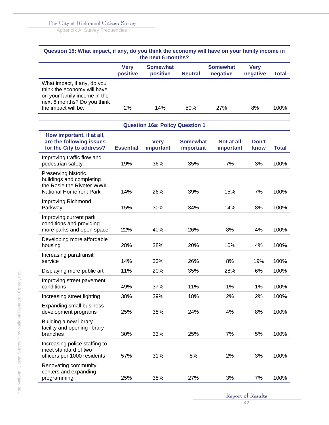Appendix A: Survey Frequencies

| Question 15: What impact, if any, do you think the economy will have on your family income in                                                    |                         | the next 6 months?                     |                              |                             |                         |              |
|--------------------------------------------------------------------------------------------------------------------------------------------------|-------------------------|----------------------------------------|------------------------------|-----------------------------|-------------------------|--------------|
|                                                                                                                                                  | <b>Very</b><br>positive | <b>Somewhat</b><br>positive            | <b>Neutral</b>               | <b>Somewhat</b><br>negative | <b>Very</b><br>negative | <b>Total</b> |
| What impact, if any, do you<br>think the economy will have<br>on your family income in the<br>next 6 months? Do you think<br>the impact will be: | 2%                      | 14%                                    | 50%                          | 27%                         | 8%                      | 100%         |
|                                                                                                                                                  |                         |                                        |                              |                             |                         |              |
|                                                                                                                                                  |                         | <b>Question 16a: Policy Question 1</b> |                              |                             |                         |              |
| How important, if at all,<br>are the following issues<br>for the City to address?                                                                | <b>Essential</b>        | <b>Very</b><br>important               | <b>Somewhat</b><br>important | Not at all<br>important     | Don't<br>know           | <b>Total</b> |
| Improving traffic flow and<br>pedestrian safety                                                                                                  | 19%                     | 36%                                    | 35%                          | 7%                          | 3%                      | 100%         |
| Preserving historic<br>buildings and completing<br>the Rosie the Riveter WWII<br>National Homefront Park                                         | 14%                     | 26%                                    | 39%                          | 15%                         | 7%                      | 100%         |
| Improving Richmond<br>Parkway                                                                                                                    | 15%                     | 30%                                    | 34%                          | 14%                         | 8%                      | 100%         |
| Improving current park<br>conditions and providing<br>more parks and open space                                                                  | 22%                     | 40%                                    | 26%                          | 8%                          | 4%                      | 100%         |
| Developing more affordable<br>housing                                                                                                            | 28%                     | 38%                                    | 20%                          | 10%                         | 4%                      | 100%         |
| Increasing paratransit<br>service                                                                                                                | 14%                     | 33%                                    | 26%                          | 8%                          | 19%                     | 100%         |
| Displaying more public art                                                                                                                       | 11%                     | 20%                                    | 35%                          | 28%                         | 6%                      | 100%         |
| Improving street pavement<br>conditions                                                                                                          | 49%                     | 37%                                    | 11%                          | 1%                          | $1\%$                   | 100%         |
| Increasing street lighting                                                                                                                       | 38%                     | 39%                                    | 18%                          | 2%                          | 2%                      | 100%         |
| <b>Expanding small business</b><br>development programs                                                                                          | 25%                     | 38%                                    | 24%                          | 4%                          | 8%                      | 100%         |
| Building a new library<br>facility and opening library<br>branches                                                                               | 30%                     | 33%                                    | 25%                          | 7%                          | 5%                      | 100%         |
| Increasing police staffing to<br>meet standard of two<br>officers per 1000 residents                                                             | 57%                     | 31%                                    | 8%                           | 2%                          | 3%                      | 100%         |
| Renovating community<br>centers and expanding<br>programming                                                                                     | 25%                     | 38%                                    | 27%                          | 3%                          | 7%                      | 100%         |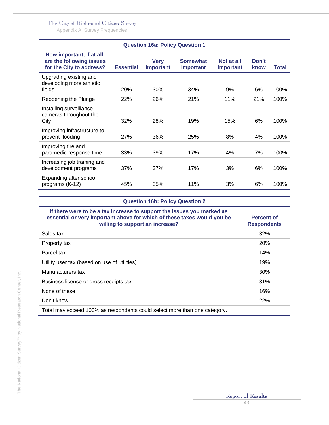Appendix A: Survey Frequencies

|                                                                                   |                  | <b>Question 16a: Policy Question 1</b> |                              |                         |               |              |
|-----------------------------------------------------------------------------------|------------------|----------------------------------------|------------------------------|-------------------------|---------------|--------------|
| How important, if at all,<br>are the following issues<br>for the City to address? | <b>Essential</b> | <b>Very</b><br>important               | <b>Somewhat</b><br>important | Not at all<br>important | Don't<br>know | <b>Total</b> |
| Upgrading existing and<br>developing more athletic<br>fields                      | <b>20%</b>       | 30%                                    | 34%                          | 9%                      | 6%            | 100%         |
| Reopening the Plunge                                                              | 22%              | 26%                                    | 21%                          | 11%                     | 21%           | 100%         |
| Installing surveillance<br>cameras throughout the<br>City                         | 32%              | 28%                                    | 19%                          | 15%                     | 6%            | 100%         |
| Improving infrastructure to<br>prevent flooding                                   | 27%              | 36%                                    | 25%                          | 8%                      | 4%            | 100%         |
| Improving fire and<br>paramedic response time                                     | 33%              | 39%                                    | 17%                          | 4%                      | 7%            | 100%         |
| Increasing job training and<br>development programs                               | 37%              | 37%                                    | 17%                          | 3%                      | 6%            | 100%         |
| Expanding after school<br>programs (K-12)                                         | 45%              | 35%                                    | 11%                          | 3%                      | 6%            | 100%         |

# **Question 16b: Policy Question 2**

| If there were to be a tax increase to support the issues you marked as<br>essential or very important above for which of these taxes would you be<br>willing to support an increase? | <b>Percent of</b><br><b>Respondents</b> |
|--------------------------------------------------------------------------------------------------------------------------------------------------------------------------------------|-----------------------------------------|
| Sales tax                                                                                                                                                                            | 32%                                     |
| Property tax                                                                                                                                                                         | <b>20%</b>                              |
| Parcel tax                                                                                                                                                                           | 14%                                     |
| Utility user tax (based on use of utilities)                                                                                                                                         | 19%                                     |
| Manufacturers tax                                                                                                                                                                    | 30%                                     |
| Business license or gross receipts tax                                                                                                                                               | 31%                                     |
| None of these                                                                                                                                                                        | 16%                                     |
| Don't know                                                                                                                                                                           | 22%                                     |
| Total may exceed 100% as respondents could select more than one category.                                                                                                            |                                         |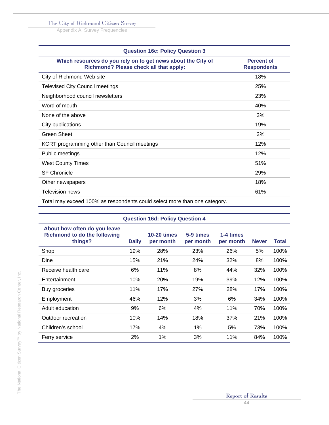Appendix A: Survey Frequencies

| <b>Question 16c: Policy Question 3</b>                                                                 |                                         |
|--------------------------------------------------------------------------------------------------------|-----------------------------------------|
| Which resources do you rely on to get news about the City of<br>Richmond? Please check all that apply: | <b>Percent of</b><br><b>Respondents</b> |
| City of Richmond Web site                                                                              | 18%                                     |
| <b>Televised City Council meetings</b>                                                                 | 25%                                     |
| Neighborhood council newsletters                                                                       | 23%                                     |
| Word of mouth                                                                                          | 40%                                     |
| None of the above                                                                                      | 3%                                      |
| City publications                                                                                      | 19%                                     |
| Green Sheet                                                                                            | 2%                                      |
| KCRT programming other than Council meetings                                                           | 12%                                     |
| Public meetings                                                                                        | 12%                                     |
| <b>West County Times</b>                                                                               | 51%                                     |
| <b>SF Chronicle</b>                                                                                    | 29%                                     |
| Other newspapers                                                                                       | 18%                                     |
| <b>Television news</b>                                                                                 | 61%                                     |
| Total may exceed 100% as respondents could select more than one category.                              |                                         |

|                                                                                |              | <b>Question 16d: Policy Question 4</b> |                        |                        |              |       |
|--------------------------------------------------------------------------------|--------------|----------------------------------------|------------------------|------------------------|--------------|-------|
| About how often do you leave<br><b>Richmond to do the following</b><br>things? | <b>Daily</b> | <b>10-20 times</b><br>per month        | 5-9 times<br>per month | 1-4 times<br>per month | <b>Never</b> | Total |
| Shop                                                                           | 19%          | 28%                                    | 23%                    | 26%                    | 5%           | 100%  |
| Dine                                                                           | 15%          | 21%                                    | 24%                    | 32%                    | 8%           | 100%  |
| Receive health care                                                            | 6%           | 11%                                    | 8%                     | 44%                    | 32%          | 100%  |
| Entertainment                                                                  | 10%          | 20%                                    | 19%                    | 39%                    | 12%          | 100%  |
| Buy groceries                                                                  | 11%          | 17%                                    | 27%                    | 28%                    | 17%          | 100%  |
| Employment                                                                     | 46%          | 12%                                    | 3%                     | 6%                     | 34%          | 100%  |
| Adult education                                                                | 9%           | 6%                                     | 4%                     | 11%                    | 70%          | 100%  |
| Outdoor recreation                                                             | 10%          | 14%                                    | 18%                    | 37%                    | 21%          | 100%  |
| Children's school                                                              | 17%          | 4%                                     | 1%                     | 5%                     | 73%          | 100%  |
| Ferry service                                                                  | 2%           | 1%                                     | 3%                     | 11%                    | 84%          | 100%  |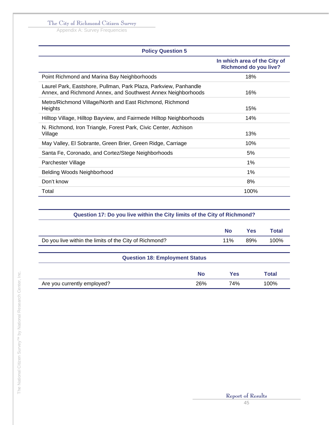Appendix A: Survey Frequencies

| <b>Policy Question 5</b>                                                                                                         |                                                              |
|----------------------------------------------------------------------------------------------------------------------------------|--------------------------------------------------------------|
|                                                                                                                                  | In which area of the City of<br><b>Richmond do you live?</b> |
| Point Richmond and Marina Bay Neighborhoods                                                                                      | 18%                                                          |
| Laurel Park, Eastshore, Pullman, Park Plaza, Parkview, Panhandle<br>Annex, and Richmond Annex, and Southwest Annex Neighborhoods | 16%                                                          |
| Metro/Richmond Village/North and East Richmond, Richmond<br>Heights                                                              | 15%                                                          |
| Hilltop Village, Hilltop Bayview, and Fairmede Hilltop Neighborhoods                                                             | 14%                                                          |
| N. Richmond, Iron Triangle, Forest Park, Civic Center, Atchison<br>Village                                                       | 13%                                                          |
| May Valley, El Sobrante, Green Brier, Green Ridge, Carriage                                                                      | 10%                                                          |
| Santa Fe, Coronado, and Cortez/Stege Neighborhoods                                                                               | 5%                                                           |
| Parchester Village                                                                                                               | 1%                                                           |
| Belding Woods Neighborhood                                                                                                       | 1%                                                           |
| Don't know                                                                                                                       | 8%                                                           |
| Total                                                                                                                            | 100%                                                         |

|                                                        | <b>No</b> | Yes | Total |
|--------------------------------------------------------|-----------|-----|-------|
| Do you live within the limits of the City of Richmond? |           | 89% | 100%  |
| <b>Question 18: Employment Status</b>                  |           |     |       |

|                             |     | Yes | <b>Total</b> |
|-----------------------------|-----|-----|--------------|
| Are you currently employed? | 26% | 74% | 100%         |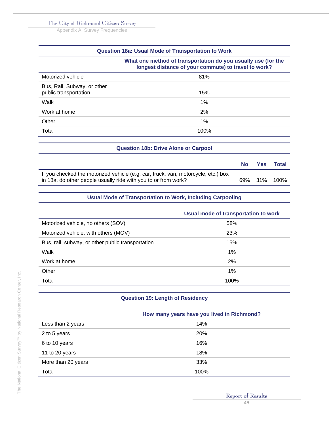Appendix A: Survey Frequencies

| Question 18a: Usual Mode of Transportation to Work   |                                                                                                                       |  |
|------------------------------------------------------|-----------------------------------------------------------------------------------------------------------------------|--|
|                                                      | What one method of transportation do you usually use (for the<br>longest distance of your commute) to travel to work? |  |
| Motorized vehicle                                    | 81%                                                                                                                   |  |
| Bus, Rail, Subway, or other<br>public transportation | 15%                                                                                                                   |  |
| Walk                                                 | 1%                                                                                                                    |  |
| Work at home                                         | 2%                                                                                                                    |  |
| Other                                                | 1%                                                                                                                    |  |
| Total                                                | 100%                                                                                                                  |  |

|                                                                                                                                                     | No l | Yes Total    |
|-----------------------------------------------------------------------------------------------------------------------------------------------------|------|--------------|
| If you checked the motorized vehicle (e.g. car, truck, van, motorcycle, etc.) box<br>in 18a, do other people usually ride with you to or from work? |      | 69% 31% 100% |

**Question 18b: Drive Alone or Carpool** 

#### **Usual Mode of Transportation to Work, Including Carpooling**

|                                                   | Usual mode of transportation to work |
|---------------------------------------------------|--------------------------------------|
| Motorized vehicle, no others (SOV)                | 58%                                  |
| Motorized vehicle, with others (MOV)              | 23%                                  |
| Bus, rail, subway, or other public transportation | 15%                                  |
| Walk                                              | 1%                                   |
| Work at home                                      | 2%                                   |
| Other                                             | 1%                                   |
| Total                                             | 100%                                 |

#### **Question 19: Length of Residency**

|                    | How many years have you lived in Richmond? |  |
|--------------------|--------------------------------------------|--|
| Less than 2 years  | 14%                                        |  |
| 2 to 5 years       | <b>20%</b>                                 |  |
| 6 to 10 years      | 16%                                        |  |
| 11 to 20 years     | 18%                                        |  |
| More than 20 years | 33%                                        |  |
| Total              | 100%                                       |  |

**Report of Results**  46

 $\overline{\phantom{a}}$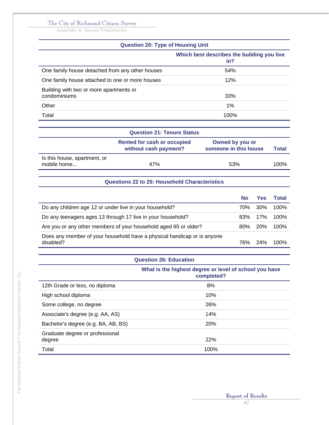Appendix A: Survey Frequencies

# **Question 20: Type of Housing Unit**

|                                                         | Which best describes the building you live<br>in? |
|---------------------------------------------------------|---------------------------------------------------|
| One family house detached from any other houses         | 54%                                               |
| One family house attached to one or more houses         | 12%                                               |
| Building with two or more apartments or<br>condominiums | 33%                                               |
| Other                                                   | 1%                                                |
| Total                                                   | 100%                                              |

|                                             | <b>Question 21: Tenure Status</b>                           |                                          |       |
|---------------------------------------------|-------------------------------------------------------------|------------------------------------------|-------|
|                                             | <b>Rented for cash or occupied</b><br>without cash payment? | Owned by you or<br>someone in this house | Total |
| Is this house, apartment, or<br>mobile home | 47%                                                         | 53%                                      | 100%  |

#### **Questions 22 to 25: Household Characteristics**

| <b>No</b> | <b>Yes</b> | <b>Total</b> |
|-----------|------------|--------------|
| 70%       |            | 100%         |
| 83%       | 17%        | 100%         |
| $80\%$    | <b>20%</b> | 100%         |
| 76%       | 24%        | 100%         |
|           |            | 30%          |

#### **Question 26: Education**

|                                           | What is the highest degree or level of school you have<br>completed? |
|-------------------------------------------|----------------------------------------------------------------------|
| 12th Grade or less, no diploma            | 8%                                                                   |
| High school diploma                       | 10%                                                                  |
| Some college, no degree                   | 26%                                                                  |
| Associate's degree (e.g. AA, AS)          | 14%                                                                  |
| Bachelor's degree (e.g. BA, AB, BS)       | 20%                                                                  |
| Graduate degree or professional<br>degree | 22%                                                                  |
| Total                                     | 100%                                                                 |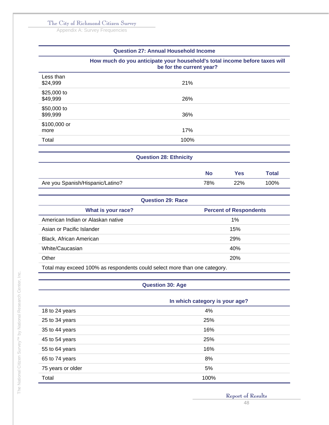Appendix A: Survey Frequencies

| <b>Question 27: Annual Household Income</b> |                                                                                                        |                               |           |                               |              |
|---------------------------------------------|--------------------------------------------------------------------------------------------------------|-------------------------------|-----------|-------------------------------|--------------|
|                                             | How much do you anticipate your household's total income before taxes will<br>be for the current year? |                               |           |                               |              |
| Less than<br>\$24,999                       |                                                                                                        | 21%                           |           |                               |              |
| \$25,000 to<br>\$49,999                     |                                                                                                        | 26%                           |           |                               |              |
| \$50,000 to<br>\$99,999                     |                                                                                                        | 36%                           |           |                               |              |
| \$100,000 or<br>more                        |                                                                                                        | 17%                           |           |                               |              |
| Total                                       |                                                                                                        | 100%                          |           |                               |              |
|                                             |                                                                                                        | <b>Question 28: Ethnicity</b> |           |                               |              |
|                                             |                                                                                                        |                               | <b>No</b> | <b>Yes</b>                    | <b>Total</b> |
|                                             | Are you Spanish/Hispanic/Latino?                                                                       |                               | 78%       | 22%                           | 100%         |
|                                             |                                                                                                        | <b>Question 29: Race</b>      |           |                               |              |
|                                             | What is your race?                                                                                     |                               |           | <b>Percent of Respondents</b> |              |
| $\sim$ $\sim$ $\sim$ $\sim$                 | $\mathbf{A}$ and $\mathbf{A}$ are the set of $\mathbf{A}$                                              |                               |           | $\cdots$                      |              |

| American Indian or Alaskan native                                         | 1%         |
|---------------------------------------------------------------------------|------------|
| Asian or Pacific Islander                                                 | 15%        |
| Black, African American                                                   | <b>29%</b> |
| White/Caucasian                                                           | 40%        |
| Other                                                                     | <b>20%</b> |
| Total may exceed 100% as respondents could select more than one category. |            |

# **Question 30: Age**

|                   | In which category is your age? |  |
|-------------------|--------------------------------|--|
| 18 to 24 years    | 4%                             |  |
| 25 to 34 years    | 25%                            |  |
| 35 to 44 years    | 16%                            |  |
| 45 to 54 years    | 25%                            |  |
| 55 to 64 years    | 16%                            |  |
| 65 to 74 years    | 8%                             |  |
| 75 years or older | 5%                             |  |
| Total             | 100%                           |  |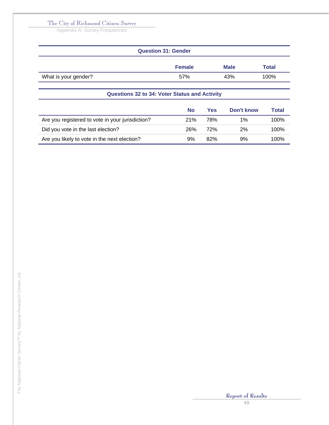Appendix A: Survey Frequencies

| <b>Question 31: Gender</b> |               |             |              |  |
|----------------------------|---------------|-------------|--------------|--|
|                            | <b>Female</b> | <b>Male</b> | <b>Total</b> |  |
| What is your gender?       | 57%           | 43%         | 100%         |  |
|                            |               |             |              |  |

| <b>Questions 32 to 34: Voter Status and Activity</b> |     |     |            |       |
|------------------------------------------------------|-----|-----|------------|-------|
|                                                      | No  | Yes | Don't know | Total |
| Are you registered to vote in your jurisdiction?     | 21% | 78% | 1%         | 100%  |
| Did you vote in the last election?                   | 26% | 72% | 2%         | 100%  |
| Are you likely to vote in the next election?         | 9%  | 82% | 9%         | 100%  |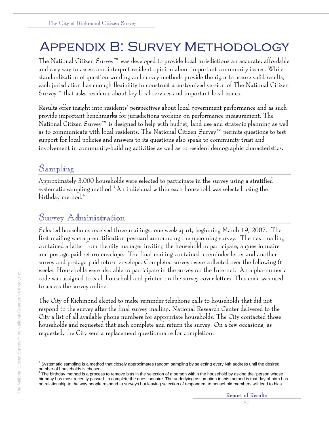# Appendix B: Survey Methodology

The National Citizen Survey™ was developed to provide local jurisdictions an accurate, affordable and easy way to assess and interpret resident opinion about important community issues. While standardization of question wording and survey methods provide the rigor to assure valid results, each jurisdiction has enough flexibility to construct a customized version of The National Citizen Survey<sup>™</sup> that asks residents about key local services and important local issues.

Results offer insight into residents' perspectives about local government performance and as such provide important benchmarks for jurisdictions working on performance measurement. The National Citizen Survey™ is designed to help with budget, land use and strategic planning as well as to communicate with local residents. The National Citizen Survey™ permits questions to test support for local policies and answers to its questions also speak to community trust and involvement in community-building activities as well as to resident demographic characteristics.

# Sampling

Approximately 3,000 households were selected to participate in the survey using a stratified systematic sampling method. $^3$  An individual within each household was selected using the birthday method.4

# Survey Administration

Selected households received three mailings, one week apart, beginning March 19, 2007. The first mailing was a prenotification postcard announcing the upcoming survey. The next mailing contained a letter from the city manager inviting the household to participate, a questionnaire and postage-paid return envelope. The final mailing contained a reminder letter and another survey and postage-paid return envelope. Completed surveys were collected over the following 6 weeks. Households were also able to participate in the survey on the Internet. An alpha-numeric code was assigned to each household and printed on the survey cover letters. This code was used to access the survey online.

The City of Richmond elected to make reminder telephone calls to households that did not respond to the survey after the final survey mailing. National Research Center delivered to the City a list of all available phone numbers for appropriate households. The City contacted those households and requested that each complete and return the survey. On a few occasions, as requested, the City sent a replacement questionnaire for completion.

 3 Systematic sampling is a method that closely approximates random sampling by selecting every Nth address until the desired number of households is chosen.<br><sup>4</sup> The birthdow method is a presse

The birthday method is a process to remove bias in the selection of a person within the household by asking the "person whose birthday has most recently passed" to complete the questionnaire. The underlying assumption in this method is that day of birth has no relationship to the way people respond to surveys but leaving selection of respondent to household members will lead to bias.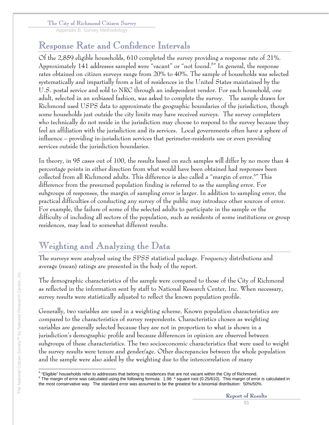Appendix B: Survey Methodology

# Response Rate and Confidence Intervals

Of the 2,859 eligible households, 610 completed the survey providing a response rate of 21%. Approximately 141 addresses sampled were "vacant" or "not found.<sup>5</sup>" In general, the response rates obtained on citizen surveys range from 20% to 40%. The sample of households was selected systematically and impartially from a list of residences in the United States maintained by the U.S. postal service and sold to NRC through an independent vendor. For each household, one adult, selected in an unbiased fashion, was asked to complete the survey. The sample drawn for Richmond used USPS data to approximate the geographic boundaries of the jurisdiction, though some households just outside the city limits may have received surveys. The survey completers who technically do not reside in the jurisdiction may choose to respond to the survey because they feel an affiliation with the jurisdiction and its services. Local governments often have a sphere of influence – providing in-jurisdiction services that perimeter-residents use or even providing services outside the jurisdiction boundaries.

In theory, in 95 cases out of 100, the results based on such samples will differ by no more than 4 percentage points in either direction from what would have been obtained had responses been collected from all Richmond adults. This difference is also called a "margin of error.6 " This difference from the presumed population finding is referred to as the sampling error. For subgroups of responses, the margin of sampling error is larger. In addition to sampling error, the practical difficulties of conducting any survey of the public may introduce other sources of error. For example, the failure of some of the selected adults to participate in the sample or the difficulty of including all sectors of the population, such as residents of some institutions or group residences, may lead to somewhat different results.

# Weighting and Analyzing the Data

The surveys were analyzed using the SPSS statistical package. Frequency distributions and average (mean) ratings are presented in the body of the report.

The demographic characteristics of the sample were compared to those of the City of Richmond as reflected in the information sent by staff to National Research Center, Inc. When necessary, survey results were statistically adjusted to reflect the known population profile.

Generally, two variables are used in a weighting scheme. Known population characteristics are compared to the characteristics of survey respondents. Characteristics chosen as weighting variables are generally selected because they are not in proportion to what is shown in a jurisdiction's demographic profile and because differences in opinion are observed between subgroups of these characteristics. The two socioeconomic characteristics that were used to weight the survey results were tenure and gender/age. Other discrepancies between the whole population and the sample were also aided by the weighting due to the intercorrelation of many

<sup>&</sup>lt;sup>5</sup> "Eligible" households refer to addresses that belong to residences that are not vacant within the City of Richmond.<br><sup>6</sup> The margin of arra use seleviated using the following farmulau 4.06, \* aguare reat (0.35/640). Thi

 $6$  The margin of error was calculated using the following formula: 1.96  $*$  square root (0.25/610). This margin of error is calculated in the most conservative way. The standard error was assumed to be the greatest for a binomial distribution: 50%/50%.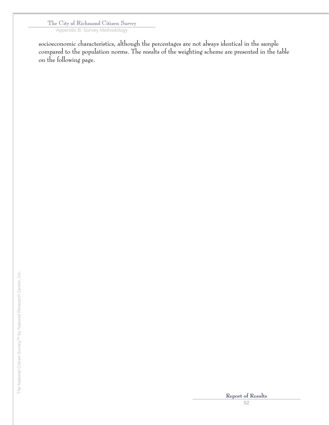Appendix B: Survey Methodology

socioeconomic characteristics, although the percentages are not always identical in the sample compared to the population norms. The results of the weighting scheme are presented in the table on the following page.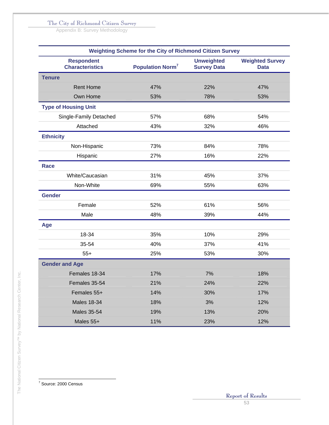Appendix B: Survey Methodology

| Weighting Scheme for the City of Richmond Citizen Survey |                                    |                                         |                                       |  |  |  |  |  |
|----------------------------------------------------------|------------------------------------|-----------------------------------------|---------------------------------------|--|--|--|--|--|
| <b>Respondent</b><br><b>Characteristics</b>              | <b>Population Norm<sup>7</sup></b> | <b>Unweighted</b><br><b>Survey Data</b> | <b>Weighted Survey</b><br><b>Data</b> |  |  |  |  |  |
| <b>Tenure</b>                                            |                                    |                                         |                                       |  |  |  |  |  |
| <b>Rent Home</b>                                         | 47%                                | 22%                                     | 47%                                   |  |  |  |  |  |
| Own Home                                                 | 53%                                | 78%                                     | 53%                                   |  |  |  |  |  |
| <b>Type of Housing Unit</b>                              |                                    |                                         |                                       |  |  |  |  |  |
| Single-Family Detached                                   | 57%                                | 68%                                     | 54%                                   |  |  |  |  |  |
| Attached                                                 | 43%                                | 32%                                     | 46%                                   |  |  |  |  |  |
| <b>Ethnicity</b>                                         |                                    |                                         |                                       |  |  |  |  |  |
| Non-Hispanic                                             | 73%                                | 84%                                     | 78%                                   |  |  |  |  |  |
| Hispanic                                                 | 27%                                | 16%                                     | 22%                                   |  |  |  |  |  |
| Race                                                     |                                    |                                         |                                       |  |  |  |  |  |
| White/Caucasian                                          | 31%                                | 45%                                     | 37%                                   |  |  |  |  |  |
| Non-White                                                | 69%                                | 55%                                     | 63%                                   |  |  |  |  |  |
| <b>Gender</b>                                            |                                    |                                         |                                       |  |  |  |  |  |
| Female                                                   | 52%                                | 61%                                     | 56%                                   |  |  |  |  |  |
| Male                                                     | 48%                                | 39%                                     | 44%                                   |  |  |  |  |  |
| Age                                                      |                                    |                                         |                                       |  |  |  |  |  |
| 18-34                                                    | 35%                                | 10%                                     | 29%                                   |  |  |  |  |  |
| 35-54                                                    | 40%                                | 37%                                     | 41%                                   |  |  |  |  |  |
| $55+$                                                    | 25%                                | 53%                                     | 30%                                   |  |  |  |  |  |
| <b>Gender and Age</b>                                    |                                    |                                         |                                       |  |  |  |  |  |
| Females 18-34                                            | 17%                                | 7%                                      | 18%                                   |  |  |  |  |  |
| Females 35-54                                            | 21%                                | 24%                                     | 22%                                   |  |  |  |  |  |
| Females 55+                                              | 14%                                | 30%                                     | 17%                                   |  |  |  |  |  |
| <b>Males 18-34</b>                                       | 18%                                | 3%                                      | 12%                                   |  |  |  |  |  |
| <b>Males 35-54</b>                                       | 19%                                | 13%                                     | 20%                                   |  |  |  |  |  |
| Males 55+                                                | 11%                                | 23%                                     | 12%                                   |  |  |  |  |  |

7 Source: 2000 Census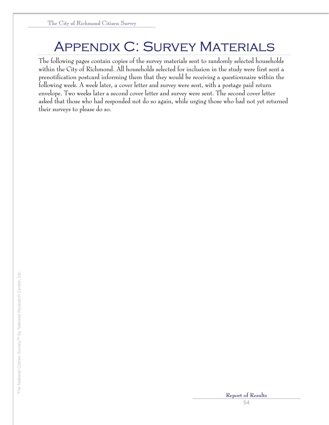# **APPENDIX C: SURVEY MATERIALS**

The following pages contain copies of the survey materials sent to randomly selected households within the City of Richmond. All households selected for inclusion in the study were first sent a prenotification postcard informing them that they would be receiving a questionnaire within the following week. A week later, a cover letter and survey were sent, with a postage paid return envelope. Two weeks later a second cover letter and survey were sent. The second cover letter asked that those who had responded not do so again, while urging those who had not yet returned their surveys to please do so.

The National Citizen Survey™ by National Research Center, Inc.

The National Citizen Survey<sup>TM</sup> by National Research Center, Inc.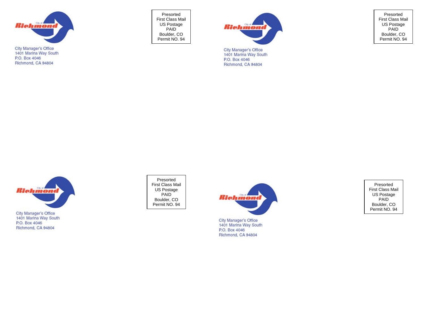

Presorted First Class Mail US Postage PAID Boulder, CO Permit NO. 94



**City Manager's Office** 1401 Marina Way South P.O. Box 4046 Richmond, CA 94804

Presorted First Class Mail US Postage PAID Boulder, CO Permit NO. 94



Presorted First Class Mail US Postage PAID Boulder, CO Permit NO. 94



City Manager's Office 1401 Marina Way South P.O. Box 4046 Richmond, CA 94804

Presorted First Class Mail US Postage PAID Boulder, CO Permit NO. 94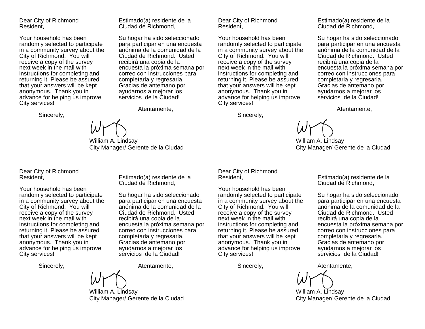Dear City of Richmond Resident,

Your household has been randomly selected to participate in a community survey about the City of Richmond. You will receive a copy of the survey next week in the mail with instructions for completing and returning it. Please be assured that your answers will be kept anonymous. Thank you in advance for helping us improve City services!

Sincerely,

William A. Lindsay City Manager/ Gerente de la Ciudad

Estimado(a) residente de la Ciudad de Richmond,

Su hogar ha sido seleccionado para participar en una encuesta anónima de la comunidad de la Ciudad de Richmond. Usted recibirá una copia de la

encuesta la próxima semana por correo con instrucciones para completarla y regresarla. Gracias de antemano por ayudarnos a mejorar los servicios de la Ciudad!

Atentamente,

Estimado(a) residente de la Ciudad de Richmond,

Su hogar ha sido seleccionado para participar en una encuesta anónima de la comunidad de la Ciudad de Richmond. Usted recibirá una copia de la

encuesta la próxima semana por correo con instrucciones para completarla y regresarla. Gracias de antemano por ayudarnos a mejorar los servicios de la Ciudad!

Atentamente,

Dear City of Richmond Resident,

Your household has been randomly selected to participate in a community survey about the City of Richmond. You will receive a copy of the survey next week in the mail with instructions for completing and returning it. Please be assured that your answers will be kept anonymous. Thank you in advance for helping us improve City services!

Sincerely,

Estimado(a) residente de la Ciudad de Richmond,

Su hogar ha sido seleccionado para participar en una encuesta anónima de la comunidad de la Ciudad de Richmond. Usted recibirá una copia de la encuesta la próxima semana por correo con instrucciones para completarla y regresarla. Gracias de antemano por ayudarnos a mejorar los servicios de la Ciudad!

Atentamente,

Estimado(a) residente de la Ciudad de Richmond,

Su hogar ha sido seleccionado para participar en una encuesta anónima de la comunidad de la Ciudad de Richmond. Usted recibirá una copia de la

encuesta la próxima semana por correo con instrucciones para completarla y regresarla. Gracias de antemano por ayudarnos a mejorar los servicios de la Ciudad!

William A. Lindsay City Manager/ Gerente de la Ciudad

Dear City of Richmond Resident,

Your household has been randomly selected to participate in a community survey about the City of Richmond. You will receive a copy of the survey next week in the mail with instructions for completing and returning it. Please be assured that your answers will be kept anonymous. Thank you in advance for helping us improve City services!

Sincerely,

William A. Lindsay City Manager/ Gerente de la Ciudad

Dear City of Richmond Resident,

Your household has been randomly selected to participate in a community survey about the City of Richmond. You will receive a copy of the survey next week in the mail with instructions for completing and returning it. Please be assured that your answers will be kept anonymous. Thank you in advance for helping us improve City services!

Sincerely,

Atentamente,

William A. Lindsay City Manager/ Gerente de la Ciudad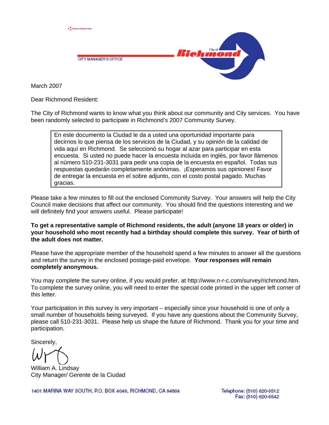

March 2007

Dear Richmond Resident:

The City of Richmond wants to know what you think about our community and City services. You have been randomly selected to participate in Richmond's 2007 Community Survey.

En este documento la Ciudad le da a usted una oportunidad importante para decirnos lo que piensa de los servicios de la Ciudad, y su opinión de la calidad de vida aquí en Richmond. Se seleccionó su hogar al azar para participar en esta encuesta. Si usted no puede hacer la encuesta incluida en inglés, por favor llámenos al número 510-231-3031 para pedir una copia de la encuesta en español. Todas sus respuestas quedarán completamente anónimas. ¡Esperamos sus opiniones! Favor de entregar la encuesta en el sobre adjunto, con el costo postal pagado. Muchas gracias.

Please take a few minutes to fill out the enclosed Community Survey. Your answers will help the City Council make decisions that affect our community. You should find the questions interesting and we will definitely find your answers useful. Please participate!

**To get a representative sample of Richmond residents, the adult (anyone 18 years or older) in your household who most recently had a birthday should complete this survey. Year of birth of the adult does not matter.** 

Please have the appropriate member of the household spend a few minutes to answer all the questions and return the survey in the enclosed postage-paid envelope. **Your responses will remain completely anonymous.** 

You may complete the survey online, if you would prefer, at http://www.n-r-c.com/survey/richmond.htm. To complete the survey online, you will need to enter the special code printed in the upper left corner of this letter.

Your participation in this survey is very important – especially since your household is one of only a small number of households being surveyed. If you have any questions about the Community Survey, please call 510-231-3031. Please help us shape the future of Richmond. Thank you for your time and participation.

Sincerely,

William A. Lindsay City Manager/ Gerente de la Ciudad

1401 MARINA WAY SOUTH, P.O. BOX 4046, RICHMOND, CA 94804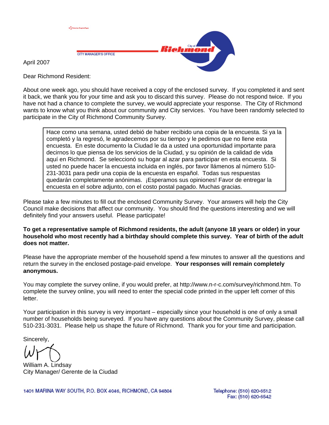

April 2007

Dear Richmond Resident:

About one week ago, you should have received a copy of the enclosed survey. If you completed it and sent it back, we thank you for your time and ask you to discard this survey. Please do not respond twice. If you have not had a chance to complete the survey, we would appreciate your response. The City of Richmond wants to know what you think about our community and City services. You have been randomly selected to participate in the City of Richmond Community Survey.

Hace como una semana, usted debió de haber recibido una copia de la encuesta. Si ya la completó y la regresó, le agradecemos por su tiempo y le pedimos que no llene esta encuesta. En este documento la Ciudad le da a usted una oportunidad importante para decirnos lo que piensa de los servicios de la Ciudad, y su opinión de la calidad de vida aquí en Richmond. Se seleccionó su hogar al azar para participar en esta encuesta. Si usted no puede hacer la encuesta incluida en inglés, por favor llámenos al número 510- 231-3031 para pedir una copia de la encuesta en español. Todas sus respuestas quedarán completamente anónimas. ¡Esperamos sus opiniones! Favor de entregar la encuesta en el sobre adjunto, con el costo postal pagado. Muchas gracias.

Please take a few minutes to fill out the enclosed Community Survey. Your answers will help the City Council make decisions that affect our community. You should find the questions interesting and we will definitely find your answers useful. Please participate!

**To get a representative sample of Richmond residents, the adult (anyone 18 years or older) in your household who most recently had a birthday should complete this survey. Year of birth of the adult does not matter.** 

Please have the appropriate member of the household spend a few minutes to answer all the questions and return the survey in the enclosed postage-paid envelope. **Your responses will remain completely anonymous.** 

You may complete the survey online, if you would prefer, at http://www.n-r-c.com/survey/richmond.htm. To complete the survey online, you will need to enter the special code printed in the upper left corner of this letter.

Your participation in this survey is very important – especially since your household is one of only a small number of households being surveyed. If you have any questions about the Community Survey, please call 510-231-3031. Please help us shape the future of Richmond. Thank you for your time and participation.

Sincerely,

William A. Lindsay City Manager/ Gerente de la Ciudad

1401 MARINA WAY SOUTH, P.O. BOX 4046, RICHMOND, CA 94804

Telephone: (510) 620-6512 Fax: (510) 620-6542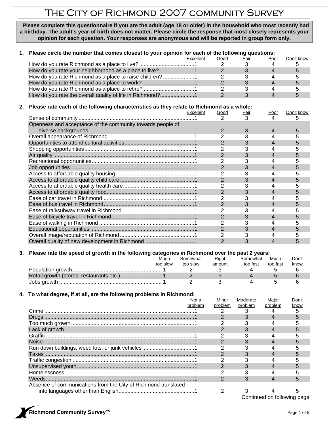# The City of Richmond 2007 community Survey

 **Please complete this questionnaire if you are the adult (age 18 or older) in the household who most recently had a birthday. The adult's year of birth does not matter. Please circle the response that most closely represents your opinion for each question. Your responses are anonymous and will be reported in group form only.** 

#### **1. Please circle the number that comes closest to your opinion for each of the following questions:**

|                                                           | Excellent | Good | Fair | Poor | Don't know |
|-----------------------------------------------------------|-----------|------|------|------|------------|
|                                                           |           |      |      |      |            |
|                                                           |           |      |      |      |            |
| How do you rate Richmond as a place to raise children? 1  |           |      |      |      |            |
|                                                           |           |      |      |      |            |
|                                                           |           |      |      |      |            |
| How do you rate the overall quality of life in Richmond?1 |           |      |      |      |            |

#### **2. Please rate each of the following characteristics as they relate to Richmond as a whole:**

|                                                            | Excellent | Good           | <u>Fair</u> | Poor | Don't know |
|------------------------------------------------------------|-----------|----------------|-------------|------|------------|
|                                                            |           |                |             |      | h          |
| Openness and acceptance of the community towards people of |           |                |             |      |            |
|                                                            |           | $\overline{2}$ | 3           |      | 5          |
|                                                            |           |                |             |      |            |
|                                                            |           |                | 3           |      | 5          |
|                                                            |           |                |             |      |            |
|                                                            |           |                |             |      |            |
|                                                            |           |                |             |      |            |
|                                                            |           |                |             |      | h.         |
|                                                            |           |                |             |      |            |
|                                                            |           |                |             |      | 5          |
|                                                            |           |                |             |      |            |
|                                                            |           |                |             |      |            |
|                                                            |           |                |             |      |            |
|                                                            |           |                |             |      |            |
|                                                            |           |                |             |      |            |
|                                                            |           |                |             |      |            |
|                                                            |           |                |             |      |            |
|                                                            |           |                |             | 4    | 5          |
|                                                            |           |                |             |      |            |
| Overall quality of new development in Richmond 1           |           |                |             |      |            |

#### **3. Please rate the speed of growth in the following categories in Richmond over the past 2 years:**

| Much     | Somewhat | Right  | Somewhat | Much     | Don't |
|----------|----------|--------|----------|----------|-------|
| too slow | too slow | amount | too fast | too fast | know  |
|          |          |        |          |          |       |
|          |          |        |          |          |       |
|          |          |        |          |          |       |

#### **4. To what degree, if at all, are the following problems in Richmond:**

|                                                                | Not a   | Minor   | Moderate | Major                       | Don't |
|----------------------------------------------------------------|---------|---------|----------|-----------------------------|-------|
|                                                                | problem | problem | problem  | problem                     | know  |
| Crime                                                          |         |         |          |                             |       |
|                                                                |         |         |          |                             |       |
|                                                                |         |         |          |                             |       |
|                                                                |         |         |          |                             |       |
| Graffiti                                                       |         |         |          |                             |       |
|                                                                |         |         |          |                             |       |
|                                                                |         |         |          |                             |       |
| Taxes                                                          |         |         |          |                             |       |
|                                                                |         |         |          |                             |       |
|                                                                |         |         |          |                             |       |
|                                                                |         |         |          |                             |       |
| Weeds.                                                         |         |         |          |                             |       |
| Absence of communications from the City of Richmond translated |         |         |          |                             |       |
|                                                                |         |         |          |                             |       |
|                                                                |         |         |          | Continued on following page |       |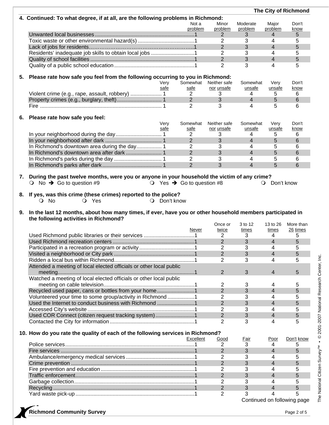|          |                                                                                                                                                                                                      |              |                                             |                |                |                     | The City of Richmond |
|----------|------------------------------------------------------------------------------------------------------------------------------------------------------------------------------------------------------|--------------|---------------------------------------------|----------------|----------------|---------------------|----------------------|
|          | 4. Continued: To what degree, if at all, are the following problems in Richmond:                                                                                                                     |              |                                             |                |                |                     |                      |
|          |                                                                                                                                                                                                      |              | Not a                                       | Minor          | Moderate       | Major               | Don't                |
|          |                                                                                                                                                                                                      |              | problem                                     | problem        | problem        | problem             | <u>know</u>          |
|          |                                                                                                                                                                                                      |              |                                             | 2              | 3              | 4                   | 5                    |
|          |                                                                                                                                                                                                      |              |                                             | $\overline{2}$ | 3              | $\overline{4}$      | 5                    |
|          |                                                                                                                                                                                                      |              |                                             | $\overline{2}$ | 3              | $\overline{4}$      | 5                    |
|          | Residents' inadequate job skills to obtain local jobs 1                                                                                                                                              |              |                                             | $\overline{2}$ | 3              | $\overline{4}$      | 5                    |
|          |                                                                                                                                                                                                      |              |                                             | $\overline{2}$ | 3              | $\overline{4}$      | 5                    |
|          |                                                                                                                                                                                                      |              |                                             | 2              | 3              | 4                   | 5                    |
|          | Please rate how safe you feel from the following occurring to you in Richmond:                                                                                                                       |              |                                             |                |                |                     |                      |
| 5.       |                                                                                                                                                                                                      | Very         | Somewhat                                    | Neither safe   | Somewhat       | Very                | Don't                |
|          |                                                                                                                                                                                                      | safe         | safe                                        | nor unsafe     | unsafe         | unsafe              | know                 |
|          |                                                                                                                                                                                                      |              | $\overline{2}$                              | 3              | 4              | 5                   | 6                    |
|          |                                                                                                                                                                                                      |              | $\overline{2}$                              | 3              | $\overline{4}$ | $5\phantom{1}$      | 6                    |
|          |                                                                                                                                                                                                      |              | $\overline{2}$                              | 3              | 4              | 5                   | 6                    |
|          |                                                                                                                                                                                                      |              |                                             |                |                |                     |                      |
| 6.       | Please rate how safe you feel:                                                                                                                                                                       |              |                                             |                |                |                     |                      |
|          |                                                                                                                                                                                                      | Very         | Somewhat                                    | Neither safe   | Somewhat       | Very                | Don't                |
|          |                                                                                                                                                                                                      | safe         | safe                                        | nor unsafe     | unsafe         | unsafe              | know                 |
|          |                                                                                                                                                                                                      |              | $\overline{2}$                              | 3              | 4              | 5                   | 6                    |
|          |                                                                                                                                                                                                      |              | $\overline{2}$                              | 3              | $\overline{4}$ | 5                   | 6                    |
|          |                                                                                                                                                                                                      |              | 2                                           | 3              | $\overline{4}$ | 5                   | 6                    |
|          |                                                                                                                                                                                                      |              | $\overline{2}$                              | 3              | $\overline{4}$ | 5                   | 6                    |
|          |                                                                                                                                                                                                      |              | $\overline{2}$                              | 3              | 4              | 5                   | 6                    |
|          |                                                                                                                                                                                                      |              | $\overline{2}$                              | $\overline{3}$ | $\overline{4}$ | 5                   | 6                    |
|          | During the past twelve months, were you or anyone in your household the victim of any crime?<br>$\bigcirc$ No $\rightarrow$ Go to question #9                                                        |              | $\circ$ Yes $\rightarrow$ Go to question #8 |                |                | $Q$ Don't know      |                      |
| 8.<br>9. | If yes, was this crime (these crimes) reported to the police?<br>O Yes<br>$\bigcirc$ No<br>In the last 12 months, about how many times, if ever, have you or other household members participated in | O Don't know |                                             |                |                |                     |                      |
|          | the following activities in Richmond?                                                                                                                                                                |              |                                             | Once or        | 3 to 12        | 13 to 26            | More than            |
|          |                                                                                                                                                                                                      |              | Never                                       | twice          | times          | times               | 26 times             |
|          |                                                                                                                                                                                                      |              |                                             | $\overline{2}$ | 3              | 4                   | 5                    |
|          |                                                                                                                                                                                                      |              |                                             | $\overline{2}$ | 3              | $\overline{4}$      | 5                    |
|          |                                                                                                                                                                                                      |              |                                             | $\overline{2}$ | 3              | 4                   | 5                    |
|          |                                                                                                                                                                                                      |              |                                             | $\overline{2}$ | 3              | $\overline{4}$      | 5                    |
|          |                                                                                                                                                                                                      |              |                                             | 2              | 3              | 4                   | 5                    |
|          | Attended a meeting of local elected officials or other local public                                                                                                                                  |              |                                             |                |                |                     |                      |
|          |                                                                                                                                                                                                      |              |                                             | 2              | 3              | $\overline{4}$      | 5                    |
|          | Watched a meeting of local elected officials or other local public                                                                                                                                   |              |                                             |                |                |                     |                      |
|          |                                                                                                                                                                                                      |              |                                             | $\overline{2}$ | 3              | 4                   | 5                    |
|          | Recycled used paper, cans or bottles from your home1                                                                                                                                                 |              |                                             | $\overline{2}$ | 3              | $\overline{4}$      | 5                    |
|          | Volunteered your time to some group/activity in Richmond 1                                                                                                                                           |              |                                             | 2              | 3              | 4                   | 5                    |
|          | Used the Internet to conduct business with Richmond 1                                                                                                                                                |              |                                             | $\overline{2}$ | 3              | $\overline{4}$      | 5                    |
|          |                                                                                                                                                                                                      |              |                                             | $\overline{2}$ | 3              | 4                   | 5                    |
|          | Used COR Connect (citizen request tracking system)1                                                                                                                                                  |              |                                             | $\overline{2}$ | 3              | $\overline{4}$<br>4 | 5                    |
|          | 10. How do you rate the quality of each of the following services in Richmond?                                                                                                                       |              |                                             | 2              | 3              |                     | 5                    |
|          |                                                                                                                                                                                                      |              | Excellent                                   | Good           | <u>Fair</u>    | Poor                | Don't know           |
|          |                                                                                                                                                                                                      |              |                                             | $\overline{2}$ | 3              | 4                   | 5                    |
|          |                                                                                                                                                                                                      |              |                                             | $\overline{2}$ | 3              | 4                   | 5                    |
|          |                                                                                                                                                                                                      |              |                                             | 2              | 3              | 4                   | 5                    |
|          |                                                                                                                                                                                                      |              |                                             | $\overline{2}$ | 3              | $\overline{4}$      | 5                    |

Fire prevention and education...............................................................1 2 3 4 5

Garbage collection.................................................................................1 2 3 4 5 Recycling ...............................................................................................1 2 3 4 5

Continued on following page



Traffic enforcement................................................................................1 2 3 4 5

Yard waste pick-up ................................................................................1 2 3 4 5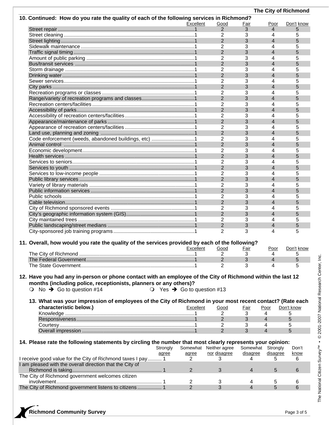|                                                                                                             |                                              |                     |                   |                          | The City of Richmond |
|-------------------------------------------------------------------------------------------------------------|----------------------------------------------|---------------------|-------------------|--------------------------|----------------------|
| 10. Continued: How do you rate the quality of each of the following services in Richmond?                   |                                              |                     |                   |                          |                      |
|                                                                                                             | Excellent                                    | Good                | <u>Fair</u>       | <u>Poor</u>              | Don't know           |
|                                                                                                             |                                              | $\overline{2}$      | 3                 | 4                        | 5                    |
|                                                                                                             |                                              | 2                   | 3                 | 4                        | 5                    |
|                                                                                                             |                                              | $\overline{2}$<br>2 | 3<br>3            | 4<br>4                   | 5<br>5               |
|                                                                                                             |                                              | $\overline{2}$      | 3                 | $\overline{4}$           | 5                    |
|                                                                                                             |                                              | $\overline{2}$      | 3                 | 4                        | 5                    |
|                                                                                                             |                                              | $\overline{2}$      | 3                 | 4                        | 5                    |
|                                                                                                             |                                              | 2                   | 3                 | 4                        | 5                    |
|                                                                                                             |                                              | $\overline{2}$      | 3                 | 4                        | 5                    |
|                                                                                                             |                                              | 2                   | 3                 | 4                        | 5                    |
|                                                                                                             |                                              | $\overline{2}$      | 3                 | 4                        | 5                    |
|                                                                                                             |                                              | 2                   | 3                 | 4                        | 5                    |
|                                                                                                             |                                              | $\overline{2}$      | 3                 | 4                        | 5                    |
|                                                                                                             |                                              | 2                   | 3                 | 4                        | 5                    |
|                                                                                                             |                                              | $\overline{2}$      | 3                 | $\overline{4}$           | 5                    |
|                                                                                                             |                                              | 2                   | 3                 | 4                        | 5                    |
|                                                                                                             |                                              | $\overline{2}$      | 3                 | 4                        | 5                    |
|                                                                                                             |                                              | 2                   | 3                 | 4                        | 5                    |
|                                                                                                             |                                              | $\overline{2}$      | 3                 | 4                        | 5                    |
| Code enforcement (weeds, abandoned buildings, etc) 1                                                        |                                              | 2                   | 3                 | 4                        | 5                    |
|                                                                                                             |                                              | $\overline{2}$      | 3                 | 4                        | 5                    |
|                                                                                                             |                                              | 2<br>$\overline{2}$ | 3<br>3            | 4<br>4                   | 5<br>5               |
|                                                                                                             |                                              | 2                   | 3                 | 4                        | 5                    |
|                                                                                                             |                                              | $\overline{2}$      | 3                 | $\overline{4}$           | 5                    |
|                                                                                                             |                                              | 2                   | 3                 | 4                        | 5                    |
|                                                                                                             |                                              | $\overline{2}$      | 3                 | $\overline{\mathcal{L}}$ | 5                    |
|                                                                                                             |                                              | 2                   | 3                 | 4                        | 5                    |
|                                                                                                             |                                              | $\overline{2}$      | 3                 | $\overline{4}$           | 5                    |
|                                                                                                             |                                              | 2                   | 3                 | 4                        | 5                    |
|                                                                                                             |                                              | $\overline{2}$      | 3                 | 4                        | 5                    |
|                                                                                                             |                                              | 2                   | 3                 | 4                        | 5                    |
|                                                                                                             |                                              | $\overline{2}$      | 3                 | 4                        | 5                    |
|                                                                                                             |                                              | 2                   | 3                 | 4                        | 5                    |
|                                                                                                             |                                              | $\overline{2}$      | 3                 | 4                        | 5                    |
|                                                                                                             |                                              | 2                   | 3                 | 4                        | 5                    |
|                                                                                                             |                                              |                     |                   |                          |                      |
| 11. Overall, how would you rate the quality of the services provided by each of the following?              |                                              |                     |                   |                          |                      |
|                                                                                                             | Excellent                                    | <u>Good</u><br>2    | <u>Fair</u><br>3  | 4                        | Poor Don't know      |
|                                                                                                             |                                              | $\overline{2}$      | 3                 | 4                        | 5<br>5               |
|                                                                                                             |                                              | 2                   | 3                 | 4                        | 5                    |
|                                                                                                             |                                              |                     |                   |                          |                      |
| 12. Have you had any in-person or phone contact with an employee of the City of Richmond within the last 12 |                                              |                     |                   |                          |                      |
| months (including police, receptionists, planners or any others)?                                           |                                              |                     |                   |                          |                      |
| No $\rightarrow$ Go to question #14<br>$\bullet$                                                            | $\circ$ Yes $\rightarrow$ Go to question #13 |                     |                   |                          |                      |
|                                                                                                             |                                              |                     |                   |                          |                      |
| 13. What was your impression of employees of the City of Richmond in your most recent contact? (Rate each   |                                              |                     |                   |                          |                      |
| characteristic below.)                                                                                      | Excellent                                    | Good                | Fair              | Poor                     | Don't know           |
|                                                                                                             |                                              | 2                   | 3                 | 4                        | 5                    |
|                                                                                                             |                                              | $\overline{2}$      | 3                 | $\overline{4}$           | 5                    |
|                                                                                                             |                                              | 2                   | 3                 | 4                        | 5                    |
|                                                                                                             |                                              | $\overline{2}$      | 3                 | 4                        | 5                    |
|                                                                                                             |                                              |                     |                   |                          |                      |
| 14. Please rate the following statements by circling the number that most clearly represents your opinion:  |                                              |                     |                   |                          |                      |
| Strongly                                                                                                    | Somewhat Neither agree                       |                     | Somewhat Strongly |                          | Don't                |
| agree                                                                                                       | agree                                        | nor disagree        | disagree          | disagree                 | <u>know</u>          |
| I receive good value for the City of Richmond taxes I pay 1                                                 | 2                                            | 3                   | 4                 | 5                        | 6                    |
| I am pleased with the overall direction that the City of                                                    |                                              |                     |                   |                          |                      |
| The City of Richmond government welcomes citizen                                                            | $\overline{2}$                               | 3                   | 4                 | 5                        | 6                    |
|                                                                                                             | 2                                            | 3                   | 4                 | 5                        | 6                    |
| The City of Richmond government listens to citizens  1                                                      | 2                                            | 3                   | 4                 | 5                        | 6                    |
|                                                                                                             |                                              |                     |                   |                          |                      |
|                                                                                                             |                                              |                     |                   |                          |                      |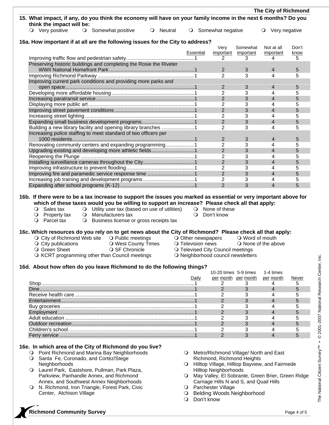|                           |                                                                                                                |           |           |                     |           | The City of Richmond     |       |
|---------------------------|----------------------------------------------------------------------------------------------------------------|-----------|-----------|---------------------|-----------|--------------------------|-------|
| think the impact will be: | 15. What impact, if any, do you think the economy will have on your family income in the next 6 months? Do you |           |           |                     |           |                          |       |
| O Very positive           | O Somewhat positive                                                                                            | O Neutral |           | O Somewhat negative |           | O Very negative          |       |
|                           |                                                                                                                |           |           |                     |           |                          |       |
|                           | 16a. How important if at all are the following issues for the City to address?                                 |           |           | Very                | Somewhat  | Not at all               | Don't |
|                           |                                                                                                                |           | Essential | important           | important | important                | know  |
|                           |                                                                                                                |           |           | 2                   | 3         | 4                        | 5     |
|                           | Preserving historic buildings and completing the Rosie the Riveter                                             |           |           |                     |           |                          |       |
|                           |                                                                                                                |           |           | $\overline{2}$      | 3         | 4                        | 5     |
|                           |                                                                                                                |           |           | $\overline{2}$      | 3         | 4                        | 5     |
|                           | Improving current park conditions and providing more parks and                                                 |           |           |                     |           |                          |       |
|                           |                                                                                                                |           |           | 2                   | 3         | 4                        | 5     |
|                           |                                                                                                                |           |           | 2                   | 3         | 4                        | 5     |
|                           |                                                                                                                |           |           | 2                   | 3         | $\overline{\mathcal{L}}$ | 5     |
|                           |                                                                                                                |           |           | 2                   | 3         | 4                        | 5     |
|                           |                                                                                                                |           |           | $\overline{2}$      | 3         | $\overline{4}$           | 5     |
|                           |                                                                                                                |           |           | $\overline{2}$      | 3         | 4                        | 5     |
|                           |                                                                                                                |           |           | $\overline{2}$      | 3         | $\overline{4}$           | 5     |
|                           | Building a new library facility and opening library branches 1                                                 |           |           | 2                   | 3         | 4                        | 5     |
|                           | Increasing police staffing to meet standard of two officers per                                                |           |           |                     |           |                          |       |
|                           |                                                                                                                |           |           | $\overline{2}$      | 3         | 4                        | 5     |
|                           | Renovating community centers and expanding programming1                                                        |           |           | 2                   | 3         | 4                        | 5     |
|                           | Upgrading existing and developing more athletic fields1                                                        |           |           | $\overline{2}$      | 3         | $\overline{4}$           | 5     |
|                           |                                                                                                                |           |           | 2                   | 3         | 4                        | 5     |
|                           |                                                                                                                |           |           | $\overline{2}$      | 3         | $\overline{4}$           | 5     |
|                           |                                                                                                                |           |           | 2                   | 3         | 4                        | 5     |
|                           |                                                                                                                |           |           | $\overline{2}$      | 3         | $\overline{4}$           | 5     |
|                           |                                                                                                                |           |           | 2                   | 3         | 4                        | 5     |
|                           |                                                                                                                |           |           | $\overline{2}$      | 3         | $\overline{4}$           | 5     |

- 
- -
- 
- O West County Times Q Television news Q None of the above
- O Green Sheet **SEXE SEXES** O SF Chronicle **SEXES** O Televised City Council meetings
- O KCRT programming other than Council meetings **O** Neighborhood council newsletters
- 
- 
- 

## **16d. About how often do you leave Richmond to do the following things?**

|       | 10-20 times 5-9 times 1-4 times |       |
|-------|---------------------------------|-------|
| Jailv | per month per month per month   | Never |
|       |                                 |       |
|       |                                 |       |
|       |                                 |       |
|       |                                 |       |
|       |                                 |       |
|       |                                 |       |
|       |                                 |       |
|       |                                 |       |
|       |                                 |       |
|       |                                 |       |

## **16e. In which area of the City of Richmond do you live?**

- Point Richmond and Marina Bay Neighborhoods O Santa Fe, Coronado, and Cortez/Stege Neighborhoods
- Laurel Park, Eastshore, Pullman, Park Plaza, Parkview, Panhandle Annex, and Richmond Annex, and Southwest Annex Neighborhoods
- O N. Richmond, Iron Triangle, Forest Park, Civic Center, Atchison Village
- Metro/Richmond Village/ North and East Richmond, Richmond Heights
- Hilltop Village, Hilltop Bayview, and Fairmede Hilltop Neighborhoods
- O May Valley, El Sobrante, Green Brier, Green Ridge Carriage Hills N and S, and Quail Hills
- O Parchester Village
- O Belding Woods Neighborhood
- Don't know

# **Richmond Community Survey Page 4 of 5** and  $P$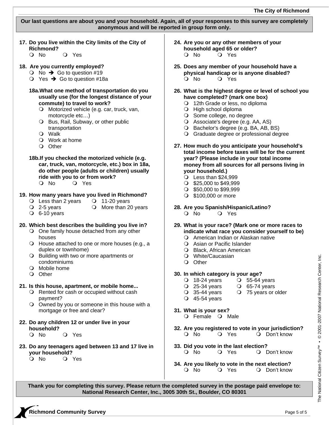**Our last questions are about you and your household. Again, all of your responses to this survey are completely anonymous and will be reported in group form only.** 

**17. Do you live within the City limits of the City of Richmond?** 

O No O Yes

# **18. Are you currently employed?**

- $\bigcirc$  No  $\rightarrow$  Go to question #19
- $\bigcirc$  Yes  $\rightarrow$  Go to question #18a
- **18a.What one method of transportation do you usually use (for the longest distance of your commute) to travel to work?** 
	- O Motorized vehicle (e.g. car, truck, van, motorcycle etc…)
	- O Bus, Rail, Subway, or other public transportation
	- Walk
	- Work at home
	- O Other
- **18b.If you checked the motorized vehicle (e.g. car, truck, van, motorcycle, etc.) box in 18a, do other people (adults or children) usually ride with you to or from work?**  Q No Q Yes

- **19. How many years have you lived in Richmond?** 
	- O Less than 2 years  $\bigcirc$  11-20 years
	- $\overline{Q}$  2-5 years  $\overline{Q}$  More than 20 years
	- $O$  6-10 years

# **20. Which best describes the building you live in?**

- One family house detached from any other houses
- House attached to one or more houses (e.g., a duplex or townhome)
- O Building with two or more apartments or condominiums
- Mobile home
- O Other

# **21. Is this house, apartment, or mobile home...**

- O Rented for cash or occupied without cash payment?
- Owned by you or someone in this house with a mortgage or free and clear?
- **22. Do any children 12 or under live in your household?** 
	- O No O Yes
- **23. Do any teenagers aged between 13 and 17 live in your household?** 
	- O No O Yes
- **24. Are you or any other members of your household aged 65 or older?**  Q No Q Yes
- **25. Does any member of your household have a physical handicap or is anyone disabled?**  O No O Yes
- **26. What is the highest degree or level of school you have completed? (mark one box)** 
	- 12th Grade or less, no diploma
	- High school diploma
	- O Some college, no degree
	- Associate's degree (e.g. AA, AS)
	- O Bachelor's degree (e.g. BA, AB, BS)
	- Graduate degree or professional degree
- **27. How much do you anticipate your household's total income before taxes will be for the current year? (Please include in your total income money from all sources for all persons living in your household.)** 
	- $\overline{Q}$  Less than \$24,999
	- $\circ$  \$25,000 to \$49,999
	- $\circ$  \$50,000 to \$99,999
	- $\bigcirc$  \$100,000 or more
- **28. Are you Spanish/Hispanic/Latino?** 
	- O No O Yes
- **29. What is your race? (Mark one or more races to indicate what race you consider yourself to be)** 
	- American Indian or Alaskan native
	- Asian or Pacific Islander
	- Black, African American
	- White/Caucasian
	- O Other

# **30. In which category is your age?**

- O 18-24 years  $\bigcirc$  55-64 years<br>  $\bigcirc$  25-34 years  $\bigcirc$  65-74 years
- $Q$  65-74 years
- $\overline{O}$  35-44 years  $\overline{O}$  75 years or older
- $Q$  45-54 years
- **31. What is your sex?**  O Female O Male
- **32. Are you registered to vote in your jurisdiction?**  O No O Yes O Don't know
- **33. Did you vote in the last election?**  O No O Yes O Don't know
- **34. Are you likely to vote in the next election?**  O No O Yes O Don't know

**Thank you for completing this survey. Please return the completed survey in the postage paid envelope to: National Research Center, Inc., 3005 30th St., Boulder, CO 80301**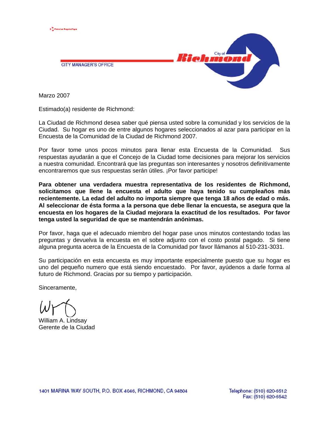

**CITY MANAGER'S OFFICE** 



Marzo 2007

Estimado(a) residente de Richmond:

La Ciudad de Richmond desea saber qué piensa usted sobre la comunidad y los servicios de la Ciudad. Su hogar es uno de entre algunos hogares seleccionados al azar para participar en la Encuesta de la Comunidad de la Ciudad de Richmond 2007.

Por favor tome unos pocos minutos para llenar esta Encuesta de la Comunidad. Sus respuestas ayudarán a que el Concejo de la Ciudad tome decisiones para mejorar los servicios a nuestra comunidad. Encontrará que las preguntas son interesantes y nosotros definitivamente encontraremos que sus respuestas serán útiles. ¡Por favor participe!

**Para obtener una verdadera muestra representativa de los residentes de Richmond, solicitamos que llene la encuesta el adulto que haya tenido su cumpleaños más recientemente. La edad del adulto no importa siempre que tenga 18 años de edad o más. Al seleccionar de ésta forma a la persona que debe llenar la encuesta, se asegura que la encuesta en los hogares de la Ciudad mejorara la exactitud de los resultados. Por favor tenga usted la seguridad de que se mantendrán anónimas.** 

Por favor, haga que el adecuado miembro del hogar pase unos minutos contestando todas las preguntas y devuelva la encuesta en el sobre adjunto con el costo postal pagado. Si tiene alguna pregunta acerca de la Encuesta de la Comunidad por favor llámanos al 510-231-3031.

Su participación en esta encuesta es muy importante especialmente puesto que su hogar es uno del pequeño numero que está siendo encuestado. Por favor, ayúdenos a darle forma al futuro de Richmond. Gracias por su tiempo y participación.

Sinceramente,

William A. Lindsay Gerente de la Ciudad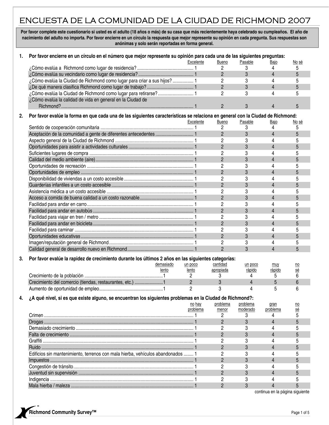# ENCUESTA DE LA COMUNIDAD DE LA CIUDAD DE RICHMOND 2007

Por favor complete este cuestionario si usted es el adulto (18 años o más) de su casa que más recientemente haya celebrado su cumpleaños. El año de **nacimiento del adulto no importa. Por favor encierre en un círculo la respuesta que mejor represente su opinión en cada pregunta. Sus respuestas son anónimas y solo serán reportadas en forma general.** 

| 1. | Por favor encierre en un círculo en el número que mejor represente su opinión para cada una de las siguientes preguntas:       |                |                |                |                                      |                  |
|----|--------------------------------------------------------------------------------------------------------------------------------|----------------|----------------|----------------|--------------------------------------|------------------|
|    |                                                                                                                                | Excelente      | <b>Bueno</b>   | Pasable        | Bajo                                 | <u>No sé</u>     |
|    |                                                                                                                                |                | 2              | 3              | 4                                    | 5                |
|    |                                                                                                                                |                | $\overline{2}$ | 3              | $\overline{4}$                       | 5                |
|    | ¿Cómo evalúa la Ciudad de Richmond como lugar para criar a sus hijos? 1                                                        |                | 2              | 3              | 4                                    | 5                |
|    |                                                                                                                                |                | $\overline{2}$ | 3              | $\overline{4}$                       | 5                |
|    | ¿Cómo evalúa la Ciudad de Richmond como lugar para retirarse? 1                                                                |                | $\overline{2}$ | 3              | 4                                    | 5                |
|    | ¿Cómo evalúa la calidad de vida en general en la Ciudad de                                                                     |                |                |                |                                      |                  |
|    |                                                                                                                                |                | $\overline{2}$ | 3              | 4                                    | 5                |
| 2. | Por favor evalúe la forma en que cada una de las siguientes características se relaciona en general con la Ciudad de Richmond: |                |                |                |                                      |                  |
|    |                                                                                                                                | Excelente      | Bueno          | Pasable        | <u>Bajo</u>                          | <u>No sé</u>     |
|    |                                                                                                                                |                | 2              | 3              | 4                                    | 5                |
|    |                                                                                                                                |                | $\overline{c}$ | 3              | $\overline{4}$                       | 5                |
|    |                                                                                                                                |                | $\overline{c}$ | 3              | 4                                    | 5                |
|    |                                                                                                                                |                | $\overline{c}$ | 3              | $\overline{4}$                       | 5                |
|    |                                                                                                                                |                | 2              | 3              | 4                                    | 5                |
|    |                                                                                                                                |                | $\overline{2}$ | 3              | $\overline{4}$                       | 5                |
|    |                                                                                                                                |                | 2              | 3              | 4                                    | 5                |
|    |                                                                                                                                |                | $\overline{c}$ | 3              | 4                                    | 5                |
|    |                                                                                                                                |                | 2              | 3              | 4                                    | 5                |
|    |                                                                                                                                |                | $\overline{2}$ | 3              | 4                                    | 5                |
|    |                                                                                                                                |                | 2              | 3              | 4                                    | 5                |
|    |                                                                                                                                |                | $\overline{2}$ |                | $\overline{4}$                       | 5                |
|    |                                                                                                                                |                |                | 3              |                                      |                  |
|    |                                                                                                                                |                | 2              | 3              | 4                                    | 5                |
|    |                                                                                                                                |                | $\overline{2}$ | 3              | $\overline{4}$                       | 5                |
|    |                                                                                                                                |                | 2              | 3              | 4                                    | 5                |
|    |                                                                                                                                |                | $\overline{2}$ | 3              | 4                                    | 5                |
|    |                                                                                                                                |                | 2              | 3              | 4                                    | 5                |
|    |                                                                                                                                |                | $\overline{2}$ | 3              | $\overline{\mathbf{4}}$              | 5                |
|    |                                                                                                                                |                | 2              | 3              | 4                                    | 5                |
|    |                                                                                                                                |                | $\overline{2}$ | 3              | 4                                    | 5                |
| 3. | Por favor evalúe la rapidez de crecimiento durante los últimos 2 años en las siguientes categorías:                            |                |                |                |                                      |                  |
|    | demasiado                                                                                                                      | un poco        | cantidad       | un poco        | muy                                  | no               |
|    | lento                                                                                                                          | lento          | apropiada      | rápido         | rápido                               | sé               |
|    |                                                                                                                                | 2              | 3              | 4              | 5                                    | 6                |
|    | Crecimiento del comercio (tiendas, restaurantes, etc.) 1                                                                       | $\overline{2}$ | 3              | $\overline{4}$ | 5                                    | 6                |
|    |                                                                                                                                | $\overline{c}$ | 3              | 4              | 5                                    | 6                |
| 4. | ¿A qué nivel, si es que existe alguno, se encuentran los siguientes problemas en la Ciudad de Richmond?:                       |                |                |                |                                      |                  |
|    |                                                                                                                                | no hay         | problema       | problema       | gran                                 | $\underline{no}$ |
|    |                                                                                                                                | problema       | menor          | moderado       | problema                             | sé               |
|    |                                                                                                                                |                | 2              | 3              | 4                                    | 5                |
|    |                                                                                                                                |                | $\overline{2}$ | 3              | $\overline{4}$                       | 5                |
|    |                                                                                                                                |                | 2              | 3              | 4                                    | 5                |
|    |                                                                                                                                |                | $\overline{2}$ | 3              | 4                                    | 5                |
|    |                                                                                                                                |                | 2              | 3              | 4                                    | 5                |
|    |                                                                                                                                |                | $\overline{2}$ | 3              | 4                                    | 5                |
|    | Edificios sin mantenimiento, terrenos con mala hierba, vehículos abandonados  1                                                |                | 2              | 3              | 4                                    | 5                |
|    |                                                                                                                                |                | $\overline{2}$ | 3              | 4                                    | 5                |
|    |                                                                                                                                |                |                |                | 4                                    |                  |
|    |                                                                                                                                |                | 2              | 3              | 4                                    | 5                |
|    |                                                                                                                                |                | $\overline{2}$ | 3              |                                      | 5                |
|    |                                                                                                                                |                | 2              | 3              | 4                                    | 5                |
|    |                                                                                                                                |                | $\overline{2}$ | 3              | 4<br>continuo en la nácina ciquiente | 5                |

continua en la página siguiente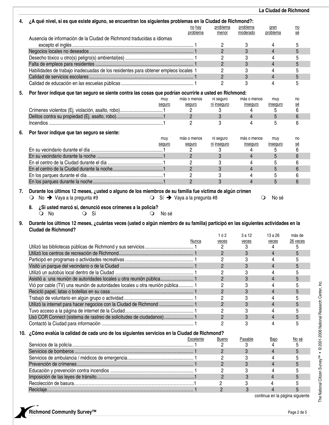|    |                                                                                                                                                                |                                                   |                          |                                | La Ciudad de Richmond           |                  |
|----|----------------------------------------------------------------------------------------------------------------------------------------------------------------|---------------------------------------------------|--------------------------|--------------------------------|---------------------------------|------------------|
| 4. | ¿A qué nivel, si es que existe alguno, se encuentran los siguientes problemas en la Ciudad de Richmond?:                                                       |                                                   |                          |                                |                                 |                  |
|    |                                                                                                                                                                | no hay                                            | problema                 | problema                       | gran                            | $\underline{no}$ |
|    |                                                                                                                                                                | problema                                          | menor                    | moderado                       | problema                        | sé               |
|    | Ausencia de información de la Ciudad de Richmond traducidas a idiomas                                                                                          |                                                   | $\overline{c}$           |                                | 4                               | 5                |
|    |                                                                                                                                                                |                                                   | $\overline{2}$           | 3<br>3                         | $\overline{4}$                  | 5                |
|    |                                                                                                                                                                |                                                   | 2                        | 3                              | 4                               | 5                |
|    |                                                                                                                                                                |                                                   | $\overline{2}$           | 3                              | $\overline{4}$                  | 5                |
|    | Habilidades de trabajo inadecuadas de los residentes para obtener empleos locales 1                                                                            |                                                   | 2                        | 3                              | 4                               | 5                |
|    |                                                                                                                                                                |                                                   | $\overline{c}$           | 3                              | $\overline{4}$                  | 5                |
|    |                                                                                                                                                                |                                                   | $\overline{2}$           | 3                              | 4                               | 5                |
|    |                                                                                                                                                                |                                                   |                          |                                |                                 |                  |
| 5. | Por favor indique que tan seguro se siente contra las cosas que podrían ocurrirle a usted en Richmond:                                                         |                                                   |                          |                                |                                 |                  |
|    | muy                                                                                                                                                            | más o menos                                       | ni seguro<br>ni inseguro | más o menos<br><u>insequro</u> | muy                             | no<br><u>sé</u>  |
|    | seguro                                                                                                                                                         | seguro<br>$\mathbf{2}$                            | 3                        | 4                              | inseguro<br>5                   | 6                |
|    |                                                                                                                                                                | $\overline{2}$                                    | 3                        | $\overline{4}$                 | 5                               | $6\phantom{1}$   |
|    |                                                                                                                                                                | $\overline{2}$                                    | 3                        | 4                              | 5                               | 6                |
|    |                                                                                                                                                                |                                                   |                          |                                |                                 |                  |
| 6. | Por favor indique que tan seguro se siente:                                                                                                                    |                                                   |                          |                                |                                 |                  |
|    | muy                                                                                                                                                            | más o menos                                       | ni seguro                | más o menos                    | muy                             | no               |
|    | seguro                                                                                                                                                         | seguro<br>2                                       | ni inseguro<br>3         | inseguro<br>4                  | inseguro<br>5                   | <u>sé</u><br>6   |
|    |                                                                                                                                                                | $\overline{2}$                                    | 3                        | 4                              | 5                               | 6                |
|    |                                                                                                                                                                | 2                                                 | 3                        | 4                              | 5                               | 6                |
|    |                                                                                                                                                                | $\overline{2}$                                    | 3                        | 4                              | 5                               | 6                |
|    |                                                                                                                                                                | $\overline{c}$                                    | 3                        | 4                              | 5                               | 6                |
|    |                                                                                                                                                                | $\overline{2}$                                    | 3                        | $\overline{\mathbf{4}}$        | 5                               | $6\phantom{1}$   |
|    |                                                                                                                                                                |                                                   |                          |                                |                                 |                  |
| 7. | Durante los últimos 12 meses, ¿usted o alguno de los miembros de su familia fue víctima de algún crimen                                                        |                                                   |                          |                                |                                 |                  |
|    | No $\rightarrow$ Vaya a la pregunta #9<br>$\cup$                                                                                                               | $\bigcirc$ Sí $\rightarrow$ Vaya a la pregunta #8 |                          |                                | No sé<br>$\circ$                |                  |
|    | ¿Si usted marcó sí, denunció esos crímenes a la policía?<br>8.                                                                                                 |                                                   |                          |                                |                                 |                  |
|    | $Q$ No<br>O Sí<br>No sé<br>$\circ$                                                                                                                             |                                                   |                          |                                |                                 |                  |
|    |                                                                                                                                                                |                                                   |                          |                                |                                 |                  |
| 9. | Durante los últimos 12 meses, ¿cuántas veces (usted o algún miembro de su familia) participó en las siguientes actividades en la<br><b>Ciudad de Richmond?</b> |                                                   |                          |                                |                                 |                  |
|    |                                                                                                                                                                |                                                   | 162                      | 3 a 12                         | 13 a 26                         | más de           |
|    |                                                                                                                                                                | Nunca                                             | veces                    | veces                          | veces                           | 26 veces         |
|    | Utilizó las bibliotecas públicas de Richmond y sus servicios                                                                                                   | 1                                                 | 2                        | 3                              | 4                               | 5                |
|    |                                                                                                                                                                |                                                   | $\overline{2}$           | 3                              | 4                               | 5                |
|    |                                                                                                                                                                |                                                   | 2                        | 3                              | 4                               | 5                |
|    |                                                                                                                                                                |                                                   | $\overline{2}$           | 3                              | $\overline{4}$                  | 5                |
|    |                                                                                                                                                                |                                                   | 2                        | 3                              | 4                               | 5                |
|    | Asistió a una reunión de autoridades locales u otra reunión pública 1                                                                                          |                                                   | $\overline{2}$           | 3                              | 4                               | 5                |
|    | Vió por cable (TV) una reunión de autoridades locales u otra reunión pública 1                                                                                 |                                                   | 2                        | 3                              | 4                               | 5                |
|    |                                                                                                                                                                |                                                   | $\overline{2}$           | 3                              | 4                               | 5                |
|    |                                                                                                                                                                |                                                   | 2                        | 3                              | 4                               | 5                |
|    | Utilizó la internet para hacer negocios con la Ciudad de Richmond  1                                                                                           |                                                   | $\overline{2}$           | 3                              | 4                               | 5                |
|    |                                                                                                                                                                |                                                   | 2                        | 3                              | 4                               | 5                |
|    | Usó COR Connect (sistema de rastreo de solicitudes de ciudadanos)                                                                                              |                                                   | $\overline{2}$           | 3                              | 4                               | 5                |
|    |                                                                                                                                                                |                                                   | 2                        | 3                              | 4                               | 5                |
|    | 10. ¿Cómo evalúa la calidad de cada uno de los siguientes servicios en la Ciudad de Richmond?                                                                  |                                                   |                          |                                |                                 |                  |
|    |                                                                                                                                                                | <b>Excelente</b>                                  | <b>Bueno</b>             | Pasable                        | <u>Bajo</u>                     | <u>No sé</u>     |
|    |                                                                                                                                                                |                                                   | 2                        | 3                              | 4                               | 5                |
|    |                                                                                                                                                                |                                                   | $\overline{2}$           | 3                              | $\overline{4}$                  | 5                |
|    |                                                                                                                                                                |                                                   | 2                        | 3                              | 4                               | 5                |
|    |                                                                                                                                                                |                                                   | $\overline{2}$           | 3                              | 4                               | 5                |
|    |                                                                                                                                                                |                                                   | 2                        | 3                              | 4                               | 5                |
|    |                                                                                                                                                                |                                                   | $\overline{2}$           | 3                              | $\overline{4}$                  | 5                |
|    |                                                                                                                                                                |                                                   | $\mathbf{2}$             | 3                              |                                 | 5                |
|    |                                                                                                                                                                |                                                   | $\overline{c}$           | 3                              | 4                               | 5                |
|    |                                                                                                                                                                |                                                   |                          |                                | continua en la página siguiente |                  |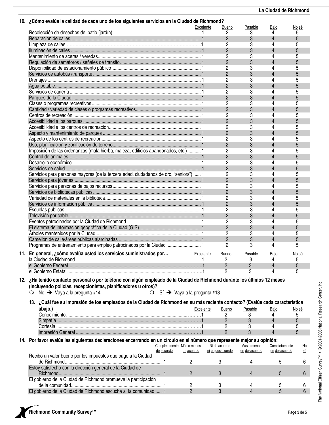| 10. ¿Cómo evalúa la calidad de cada uno de los siguientes servicios en la Ciudad de Richmond?                                 |                |                  |                |                         |       |
|-------------------------------------------------------------------------------------------------------------------------------|----------------|------------------|----------------|-------------------------|-------|
|                                                                                                                               | Excelente      | Bueno            | Pasable        | Bajo                    | No sé |
|                                                                                                                               |                | 2                | 3              | 4                       | 5     |
|                                                                                                                               |                | $\overline{2}$   | 3              | 4                       | 5     |
|                                                                                                                               |                | $\overline{2}$   | 3              | 4                       | 5     |
|                                                                                                                               |                | $\overline{2}$   | 3              | 4                       | 5     |
|                                                                                                                               |                | 2                | 3              | 4                       | 5     |
|                                                                                                                               |                | $\overline{2}$   | 3              | 4                       | 5     |
|                                                                                                                               |                | $\overline{c}$   | 3              | 4                       | 5     |
|                                                                                                                               |                | $\overline{2}$   | 3              | 4                       | 5     |
|                                                                                                                               |                | 2                | 3              | 4                       | 5     |
|                                                                                                                               |                | $\overline{2}$   | 3              | 4                       | 5     |
|                                                                                                                               |                | 2                | 3              | 4                       | 5     |
|                                                                                                                               |                | $\mathbf{2}$     | 3              | 4                       | 5     |
|                                                                                                                               |                |                  |                |                         |       |
|                                                                                                                               |                | $\overline{c}$   | 3              | 4                       | 5     |
|                                                                                                                               |                | $\overline{2}$   | 3              | 4                       | 5     |
|                                                                                                                               |                | 2                | 3              | 4                       | 5     |
|                                                                                                                               |                | $\overline{2}$   | 3              | 4                       | 5     |
|                                                                                                                               |                | 2                | 3              | 4                       | 5     |
|                                                                                                                               |                | $\overline{2}$   | 3              | 4                       | 5     |
|                                                                                                                               |                | $\overline{c}$   | 3              | 4                       | 5     |
|                                                                                                                               |                | $\overline{2}$   | 3              | 4                       | 5     |
| Imposición de las ordenanzas (mala hierba, maleza, edificios abandonados, etc.) 1                                             |                | 2                | 3              | 4                       | 5     |
|                                                                                                                               |                | $\overline{2}$   | 3              | 4                       | 5     |
|                                                                                                                               |                | 2                | 3              | 4                       | 5     |
|                                                                                                                               |                | $\mathbf{2}$     | 3              | 4                       | 5     |
| Servicios para personas mayores (de la tercera edad, ciudadanos de oro, "seniors")  1                                         |                | $\overline{c}$   | 3              | 4                       | 5     |
|                                                                                                                               |                | $\overline{2}$   | 3              | 4                       | 5     |
|                                                                                                                               |                | 2                | 3              | 4                       | 5     |
|                                                                                                                               |                |                  |                | 4                       | 5     |
|                                                                                                                               |                | $\overline{2}$   | 3              |                         |       |
|                                                                                                                               |                | 2                | 3              | 4                       | 5     |
|                                                                                                                               |                | $\overline{2}$   | 3              | 4                       | 5     |
|                                                                                                                               |                | $\overline{c}$   | 3              | 4                       | 5     |
|                                                                                                                               |                | $\overline{2}$   | 3              | 4                       | 5     |
|                                                                                                                               |                | 2                | 3              | 4                       | 5     |
|                                                                                                                               |                | $\overline{2}$   | 3              | 4                       | 5     |
|                                                                                                                               |                | $\overline{c}$   | 3              | 4                       | 5     |
|                                                                                                                               |                | $\overline{2}$   | 3              | 4                       | 5     |
| Programas de entrenamiento para empleo patrocinados por la Ciudad  1                                                          |                | $\overline{2}$   | 3              | 4                       | 5     |
|                                                                                                                               |                |                  |                |                         |       |
| 11. En general, ¿cómo evalúa usted los servicios suministrados por                                                            | Excelente      | Bueno            | Pasable        | Bajo                    | No sé |
|                                                                                                                               |                | 2                | 3              | 4                       | 5     |
|                                                                                                                               |                | $\overline{2}$   | 3              | 4                       | 5     |
|                                                                                                                               |                | 2                | 3              | 4                       | 5     |
| 12. ¿Ha tenido contacto personal o por teléfono con algún empleado de la Ciudad de Richmond durante los últimos 12 meses      |                |                  |                |                         |       |
|                                                                                                                               |                |                  |                |                         |       |
| (incluyendo policías, recepcionistas, planificadores u otros)?                                                                |                |                  |                |                         |       |
| No $\rightarrow$ Vaya a la pregunta #14<br>$\circ$ Sí $\rightarrow$ Vaya a la pregunta #13                                    |                |                  |                |                         |       |
| 13. ¿Cuál fue su impresión de los empleados de la Ciudad de Richmond en su más reciente contacto? (Evalúe cada característica |                |                  |                |                         |       |
|                                                                                                                               |                |                  |                |                         |       |
| abajo.)                                                                                                                       | Excelente      | Bueno            | Pasable        | Bajo                    | No sé |
|                                                                                                                               |                | 2                | 3              | 4                       | 5     |
|                                                                                                                               |                | $\overline{2}$   | 3              | $\overline{\mathbf{4}}$ | 5     |
|                                                                                                                               |                | 2                | 3              | 4                       | 5     |
|                                                                                                                               |                | $\overline{2}$   | 3              | 4                       | 5     |
| 14. Por favor evalúe las siguientes declaraciones encerrando en un círculo en el número que represente mejor su opinión:      |                |                  |                |                         |       |
| Completamente Más o menos                                                                                                     |                | Ni de acuerdo    | Más o menos    | Completamente           | No    |
| de acuerdo                                                                                                                    | de acuerdo     | ni en desacuerdo | en desacuerdo  | en desacuerdo           | sé    |
| Recibo un valor bueno por los impuestos que pago a la Ciudad                                                                  |                |                  |                |                         |       |
|                                                                                                                               | 2              | 3                | 4              | 5                       | 6     |
| Estoy satisfecho con la dirección general de la Ciudad de                                                                     |                |                  |                |                         |       |
|                                                                                                                               | $\mathbf{2}$   | 3                | $\overline{4}$ | 5                       | 6     |
| El gobierno de la Ciudad de Richmond promueve la participación                                                                |                |                  |                |                         |       |
|                                                                                                                               | 2              | 3                | 4              | 5                       | 6     |
| El gobierno de la Ciudad de Richmond escucha a la comunidad  .1                                                               | $\overline{2}$ | 3                | 4              | 5                       | 6     |
|                                                                                                                               |                |                  |                |                         |       |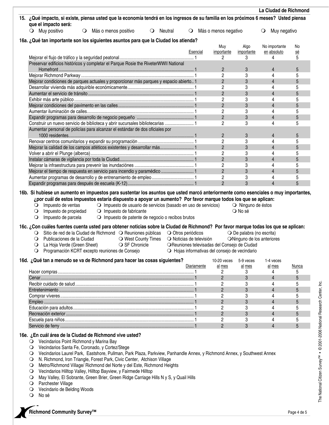|                                                                                                                                                                                                              |                        |                                                                                                      |                    |                          |                                                                                                |                                    | La Ciudad de Richmond   |                |
|--------------------------------------------------------------------------------------------------------------------------------------------------------------------------------------------------------------|------------------------|------------------------------------------------------------------------------------------------------|--------------------|--------------------------|------------------------------------------------------------------------------------------------|------------------------------------|-------------------------|----------------|
| 15. ¿Qué impacto, si existe, piensa usted que la economía tendrá en los ingresos de su familia en los próximos 6 meses? Usted piensa<br>que el impacto será:                                                 |                        |                                                                                                      |                    |                          |                                                                                                |                                    |                         |                |
| $\bigcirc$ Muy positivo                                                                                                                                                                                      | O Más o menos positivo |                                                                                                      | $\bigcirc$ Neutral | $\circ$                  | Más o menos negativo                                                                           |                                    | Muy negativo<br>$\circ$ |                |
| 16a. ¿Qué tan importante son los siguientes asuntos para que la Ciudad los atienda?                                                                                                                          |                        |                                                                                                      |                    |                          |                                                                                                |                                    |                         |                |
|                                                                                                                                                                                                              |                        |                                                                                                      |                    |                          | Muy                                                                                            | Algo                               | No importante           | No             |
|                                                                                                                                                                                                              |                        |                                                                                                      |                    | Esencial                 | importante                                                                                     | importante                         | en absoluto             | <u>sé</u><br>5 |
| Preservar edificios históricos y completar el Parque Rosie the RiveterWWII National                                                                                                                          |                        |                                                                                                      |                    |                          | 2                                                                                              | 3                                  | 4                       |                |
|                                                                                                                                                                                                              |                        |                                                                                                      |                    |                          | $\overline{2}$                                                                                 | 3                                  | $\overline{4}$          | 5              |
|                                                                                                                                                                                                              |                        |                                                                                                      |                    |                          | $\overline{c}$                                                                                 | 3                                  | 4                       | 5              |
| Mejorar condiciones de parques actuales y proporcionar más parques y espacio abierto 1                                                                                                                       |                        |                                                                                                      |                    |                          | $\overline{2}$                                                                                 | 3                                  | $\overline{4}$          | 5              |
|                                                                                                                                                                                                              |                        |                                                                                                      |                    |                          | $\overline{2}$                                                                                 | 3                                  | 4                       | 5              |
|                                                                                                                                                                                                              |                        |                                                                                                      |                    |                          | $\overline{2}$                                                                                 | 3                                  | $\overline{4}$          | 5              |
|                                                                                                                                                                                                              |                        |                                                                                                      |                    |                          | 2                                                                                              | 3                                  | 4                       | 5              |
|                                                                                                                                                                                                              |                        |                                                                                                      |                    |                          | $\sqrt{2}$                                                                                     | 3                                  | $\overline{4}$          | 5              |
|                                                                                                                                                                                                              |                        |                                                                                                      |                    |                          | $\overline{c}$                                                                                 | 3                                  | 4                       | 5              |
|                                                                                                                                                                                                              |                        |                                                                                                      |                    |                          | $\overline{2}$                                                                                 | 3                                  | $\overline{4}$          | 5              |
| Construir un nuevo servicio de biblioteca y abrir sucursales bibliotecarias  1                                                                                                                               |                        |                                                                                                      |                    |                          | $\overline{c}$                                                                                 | 3                                  | 4                       | 5              |
| Aumentar personal de policías para alcanzar el estándar de dos oficiales por                                                                                                                                 |                        |                                                                                                      |                    |                          |                                                                                                |                                    |                         |                |
|                                                                                                                                                                                                              |                        |                                                                                                      |                    |                          | $\overline{2}$                                                                                 | 3                                  | 4                       | 5              |
|                                                                                                                                                                                                              |                        |                                                                                                      |                    |                          | 2                                                                                              | 3                                  | 4                       | 5              |
| Mejorar la calidad de los campos atléticos existentes y desarrollar más 1                                                                                                                                    |                        |                                                                                                      |                    |                          | $\overline{c}$                                                                                 | 3                                  | $\overline{4}$          | 5              |
|                                                                                                                                                                                                              |                        |                                                                                                      |                    |                          | $\overline{c}$                                                                                 | 3                                  | 4                       | 5              |
|                                                                                                                                                                                                              |                        |                                                                                                      |                    |                          | $\overline{2}$                                                                                 | 3                                  | $\overline{4}$          | 5              |
|                                                                                                                                                                                                              |                        |                                                                                                      |                    |                          | $\overline{c}$                                                                                 | 3                                  | 4                       | 5              |
| Mejorar el tiempo de respuesta en servicio para incendio y paramédico  1                                                                                                                                     |                        |                                                                                                      |                    |                          | $\sqrt{2}$                                                                                     | 3                                  | $\overline{4}$          | 5              |
|                                                                                                                                                                                                              |                        |                                                                                                      |                    |                          | 2<br>$\overline{2}$                                                                            | 3<br>3                             | 4<br>$\overline{4}$     | 5<br>5         |
| Impuesto de ventas<br>$\circ$<br>Impuesto de propiedad<br>$\circ$<br>Impuesto de parcela<br>$\circ$                                                                                                          |                        | O Impuesto de usuario de servicios (basado en uso de servicios)<br>$\bigcirc$ Impuesto de fabricante |                    |                          |                                                                                                | O Ninguno de éstos<br>O No sé      |                         |                |
|                                                                                                                                                                                                              |                        | O Impuesto de patente de negocio o recibos brutos                                                    |                    |                          |                                                                                                |                                    |                         |                |
| 16c. ¿Con cuáles fuentes cuenta usted para obtener noticias sobre la Ciudad de Richmond? Por favor marque todas los que se aplican:<br>Sitio de red de la Ciudad de Richmond O Reuniones públicas<br>$\circ$ |                        |                                                                                                      |                    | O Otros periódicos       |                                                                                                | $\bigcirc$ De palabra (no escrita) |                         |                |
| Publicaciones de la Ciudad<br>$\circ$                                                                                                                                                                        |                        | O West County Times                                                                                  |                    | O Noticias de televisión |                                                                                                | ONinguno de los anteriores         |                         |                |
| La Hoja Verde (Green Sheet)<br>$\circ$<br>Programación KCRT excepto reuniones de Consejo                                                                                                                     |                        | ○ SF Chronicle                                                                                       |                    |                          | OReuniones televisadas del Consejo de Ciudad<br>O Hojas informativas del consejo de vecindario |                                    |                         |                |
| 16d. ¿Qué tan a menudo se va de Richmond para hacer las cosas siguientes?                                                                                                                                    |                        |                                                                                                      |                    |                          | $10-20$ veces                                                                                  | 5-9 veces                          | 1-4 veces               |                |
|                                                                                                                                                                                                              |                        |                                                                                                      |                    | Diariamente              | al mes                                                                                         | al mes                             | al mes                  | Nunca          |
|                                                                                                                                                                                                              |                        |                                                                                                      |                    |                          | 2                                                                                              | 3                                  | 4                       | 5              |
|                                                                                                                                                                                                              |                        |                                                                                                      |                    |                          | $\overline{2}$                                                                                 | 3                                  | $\overline{4}$          | 5              |
|                                                                                                                                                                                                              |                        |                                                                                                      |                    |                          | 2<br>$\overline{2}$                                                                            | 3<br>3                             | 4<br>4                  | 5<br>5         |
|                                                                                                                                                                                                              |                        |                                                                                                      |                    |                          | 2                                                                                              | 3                                  | 4                       | 5              |
|                                                                                                                                                                                                              |                        |                                                                                                      |                    |                          | $\overline{2}$                                                                                 | 3                                  | $\overline{4}$          | 5              |
|                                                                                                                                                                                                              |                        |                                                                                                      |                    |                          | 2                                                                                              | 3                                  | 4                       | 5              |
|                                                                                                                                                                                                              |                        |                                                                                                      |                    |                          | $\overline{2}$                                                                                 | 3                                  | 4                       | 5              |
|                                                                                                                                                                                                              |                        |                                                                                                      |                    |                          | 2                                                                                              | 3                                  |                         | 5              |
|                                                                                                                                                                                                              |                        |                                                                                                      |                    |                          | $\overline{2}$                                                                                 | 3                                  | 4                       | 5              |
| 16e. ¿En cuál área de la Ciudad de Richmond vive usted?<br>O Vecindarios Point Richmond y Marina Bay                                                                                                         |                        |                                                                                                      |                    |                          |                                                                                                |                                    |                         |                |
| Vecindarios Santa Fe, Coronado, y Cortez/Stege<br>$\cup$                                                                                                                                                     |                        |                                                                                                      |                    |                          |                                                                                                |                                    |                         |                |
| Vecindarios Laurel Park, Eastshore, Pullman, Park Plaza, Parkview, Panhandle Annex, y Richmond Annex, y Southwest Annex                                                                                      |                        |                                                                                                      |                    |                          |                                                                                                |                                    |                         |                |
| N. Dichmond Iron Trionale, Forget Dark, Civic Contar, Atobiaan Village                                                                                                                                       |                        |                                                                                                      |                    |                          |                                                                                                |                                    |                         |                |

- N. Richmond, Iron Triangle, Forest Park, Civic Center, Atchison Village
- Metro/Richmond Village/ Richmond del Norte y del Este, Richmond Heights
- Vecindarios Hilltop Valley, Hilltop Bayview, y Fairmede Hilltop
- May Valley, El Sobrante, Green Brier, Green Ridge Carriage Hills N y S, y Quail Hills
- O Parchester Village
- Vecindario de Belding Woods
- No sé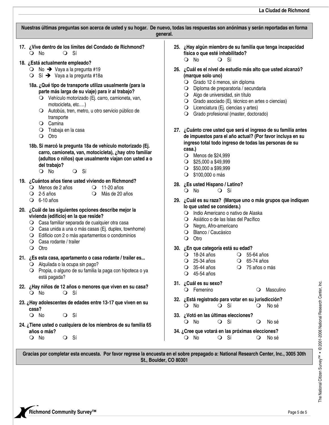| Nuestras últimas preguntas son acerca de usted y su hogar. De nuevo, todas las respuestas son anónimas y serán reportadas en forma<br>general.                                                                                                                                                                                |                                                                                                                                                                                                                                                                                                                                                              |  |  |  |  |  |  |  |
|-------------------------------------------------------------------------------------------------------------------------------------------------------------------------------------------------------------------------------------------------------------------------------------------------------------------------------|--------------------------------------------------------------------------------------------------------------------------------------------------------------------------------------------------------------------------------------------------------------------------------------------------------------------------------------------------------------|--|--|--|--|--|--|--|
| 17. ¿Vive dentro de los límites del Condado de Richmond?<br>$\bigcirc$ No<br>$Q$ Sí<br>18. ¿Está actualmente empleado?<br>$\bigcirc$ No $\rightarrow$ Vaya a la pregunta #19                                                                                                                                                  | 25. ¿Hay algún miembro de su familia que tenga incapacidad<br>física o que esté inhabilitado?<br>$\overline{O}$ No<br>$Q$ Sí<br>26. ¿Cuál es el nivel de estudio más alto que usted alcanzó?                                                                                                                                                                 |  |  |  |  |  |  |  |
| $\bigcirc$ Sí $\rightarrow$ Vaya a la pregunta #18a<br>18a. ¿Qué tipo de transporte utiliza usualmente (para la<br>parte más larga de su viaje) para ir al trabajo?<br>O Vehículo motorizado (Ej. carro, camioneta, van,<br>motocicleta, etc)<br>O Autobús, tren, metro, u otro servicio público de<br>transporte<br>O Camina | (marque solo uno)<br>O Grado 12 ó menos, sin diploma<br>O Diploma de preparatoria / secundaria<br>O Algo de universidad, sin título<br>O Grado asociado (Ej. técnico en artes o ciencias)<br>O Licenciatura (Ej. ciencias y artes)<br>O Grado profesional (master, doctorado)                                                                                |  |  |  |  |  |  |  |
| O Trabaja en la casa<br>Otro<br>$\circ$                                                                                                                                                                                                                                                                                       | 27. ¿Cuánto cree usted que será el ingreso de su familia antes<br>de impuestos para el año actual? (Por favor incluya en su                                                                                                                                                                                                                                  |  |  |  |  |  |  |  |
| 18b. Si marcó la pregunta 18a de vehículo motorizado (Ej.<br>carro, camioneta, van, motocicleta), ¿hay otro familiar<br>(adultos o niños) que usualmente viajan con usted a o<br>del trabajo?<br>$Q$ Sí<br>$\bigcirc$ No                                                                                                      | ingreso total todo ingreso de todas las personas de su<br>casa.)<br>○ Menos de \$24,999<br>$\bigcirc$ \$25,000 a \$49,999<br>$\bigcirc$ \$50,000 a \$99,999<br>\$100,000 o más<br>$\circ$                                                                                                                                                                    |  |  |  |  |  |  |  |
| 19. ¿Cuántos años tiene usted viviendo en Richmond?<br>$\bigcirc$ Menos de 2 años<br>$\bigcirc$ 11-20 años<br>$\bigcirc$ 2-5 años<br>Más de 20 años<br>$\circ$<br>$\bigcirc$ 6-10 años                                                                                                                                        | 28. ¿Es usted Hispano / Latino?<br>$Q$ No<br>$Q$ Sí<br>29. ¿Cuál es su raza? (Marque uno o más grupos que indiquen                                                                                                                                                                                                                                           |  |  |  |  |  |  |  |
| 20. ¿Cuál de las siguientes opciones describe mejor la<br>vivienda (edificio) en la que reside?<br>O Casa familiar separada de cualquier otra casa<br>O Casa unida a una o más casas (Ej. duplex, townhome)<br>Edificio con 2 o más apartamentos o condominios<br>$\cup$<br>Casa rodante / trailer<br>$\bullet$               | lo que usted se considera.)<br>O Indio Americano o nativo de Alaska<br>O Asiático o de las Islas del Pacífico<br>O Negro, Afro-americano<br>O Blanco / Caucásico<br>Otro<br>$\circ$<br>30. ¿En que categoría está su edad?<br>O 18-24 años O 55-64 años<br>O 25-34 años<br>$\bigcirc$ 65-74 años<br>O 35-44 años<br>O 75 años o más<br>$\bigcirc$ 45-54 años |  |  |  |  |  |  |  |
| Otro<br>$\circ$<br>21. ¿Es esta casa, apartamento o casa rodante / trailer es<br>$\bigcirc$ Alquilada o la ocupa sin pago?<br>O Propia, o alguno de su familia la paga con hipoteca o ya<br>está pagada?                                                                                                                      |                                                                                                                                                                                                                                                                                                                                                              |  |  |  |  |  |  |  |
| 22. ¿Hay niños de 12 años o menores que viven en su casa?<br>$\bigcirc$ No<br>O Sí                                                                                                                                                                                                                                            | 31. ¿Cuál es su sexo?<br>O Femenino<br>Masculino<br>$\circ$                                                                                                                                                                                                                                                                                                  |  |  |  |  |  |  |  |
| 23. ¿Hay adolescentes de edades entre 13-17 que viven en su<br>casa?                                                                                                                                                                                                                                                          | 32. ¿Está registrado para votar en su jurisdicción?<br>$Q$ Sí<br>$\bigcirc$ No<br>$\circ$<br>No sé                                                                                                                                                                                                                                                           |  |  |  |  |  |  |  |
| O Sí<br>$\bigcirc$ No<br>24. ¿Tiene usted o cualquiera de los miembros de su familia 65                                                                                                                                                                                                                                       | 33. ¿Votó en las últimas elecciones?<br>$\bigcirc$ No<br>O Sí<br>$\circ$<br>No sé                                                                                                                                                                                                                                                                            |  |  |  |  |  |  |  |
| años o más?<br>O Sí<br>O No                                                                                                                                                                                                                                                                                                   | 34. ¿Cree que votará en las próximas elecciones?<br>$\bigcirc$ No<br>$Q$ Si<br>$\circ$<br>No sé                                                                                                                                                                                                                                                              |  |  |  |  |  |  |  |

**Gracias por completar esta encuesta. Por favor regrese la encuesta en el sobre prepagado a: National Research Center, Inc., 3005 30th St., Boulder, CO 80301** 

**Page 5** de 5 Page 5 de 5